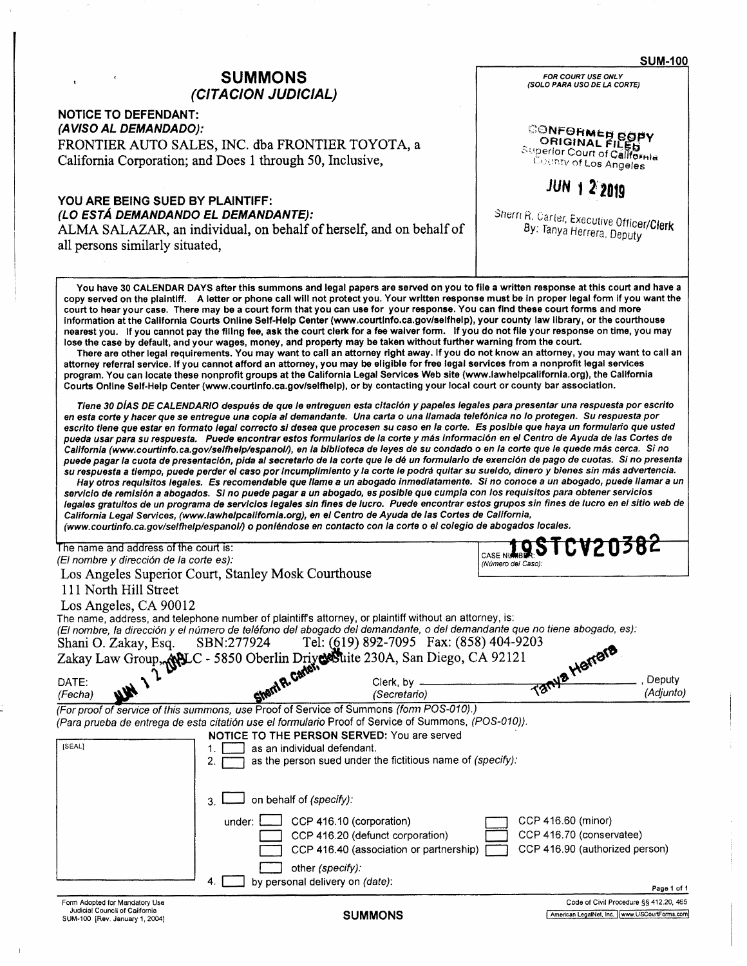### **SUMMONS** (CITACION JUDICIAL)

#### **NOTICE TO DEFENDANT:** (AVISO AL DEMANDADO): FRONTIER AUTO SALES, INC. dba FRONTIER TOYOTA, a California Corporation; and Does 1 through 50, Inclusive,

#### YOU ARE BEING SUED BY PLAINTIFF: (LO ESTÁ DEMANDANDO EL DEMANDANTE): ALMA SALAZAR, an individual, on behalf of herself, and on behalf of all persons similarly situated,

**SUM-100** 

FOR COURT USE ONLY<br>(SOLO PARA USO DE LA CORTE)

**CONFORMED COPY**<br> **ORIGINAL FILED**<br>
Superior Court of California<br>
County of Los Angeles

# **JUN 1 2 2019**

Sherri R. Carter, Executive Officer/Clerk By: Tanya Herrera, Deputy

American LegalNet, Inc. | www.USCourtForms.com

|                                                                                                |                                       | You have 30 CALENDAR DAYS after this summons and legal papers are served on you to file a written response at this court and have a<br>copy served on the plaintiff. A letter or phone call will not protect you. Your written response must be in proper legal form if you want the<br>court to hear your case. There may be a court form that you can use for your response. You can find these court forms and more<br>information at the California Courts Online Self-Help Center (www.courtinfo.ca.gov/selfhelp), your county law library, or the courthouse<br>nearest you. If you cannot pay the filing fee, ask the court clerk for a fee waiver form. If you do not file your response on time, you may<br>lose the case by default, and your wages, money, and property may be taken without further warning from the court.<br>There are other legal requirements. You may want to call an attorney right away. If you do not know an attorney, you may want to call an<br>attorney referral service. If you cannot afford an attorney, you may be eligible for free legal services from a nonprofit legal services<br>program. You can locate these nonprofit groups at the California Legal Services Web site (www.lawhelpcalifornia.org), the California<br>Courts Online Self-Help Center (www.courtinfo.ca.gov/selfhelp), or by contacting your local court or county bar association.                                                                                                                                                                                                                                                      |                                |                                       |
|------------------------------------------------------------------------------------------------|---------------------------------------|--------------------------------------------------------------------------------------------------------------------------------------------------------------------------------------------------------------------------------------------------------------------------------------------------------------------------------------------------------------------------------------------------------------------------------------------------------------------------------------------------------------------------------------------------------------------------------------------------------------------------------------------------------------------------------------------------------------------------------------------------------------------------------------------------------------------------------------------------------------------------------------------------------------------------------------------------------------------------------------------------------------------------------------------------------------------------------------------------------------------------------------------------------------------------------------------------------------------------------------------------------------------------------------------------------------------------------------------------------------------------------------------------------------------------------------------------------------------------------------------------------------------------------------------------------------------------------------------------------------------------------------------------------------|--------------------------------|---------------------------------------|
|                                                                                                |                                       | Tiene 30 DIAS DE CALENDARIO después de que le entreguen esta citación y papeles legales para presentar una respuesta por escrito<br>en esta corte y hacer que se entregue una copia al demandante. Una carta o una llamada telefónica no lo protegen. Su respuesta por<br>escrito tiene que estar en formato legal correcto si desea que procesen su caso en la corte. Es posible que haya un formulario que usted<br>pueda usar para su respuesta. Puede encontrar estos formularios de la corte y más información en el Centro de Ayuda de las Cortes de<br>California (www.courtinfo.ca.gov/selfhelp/espanol/), en la biblioteca de leyes de su condado o en la corte que le quede más cerca. Si no<br>puede pagar la cuota de presentación, pida al secretario de la corte que le dé un formulario de exención de pago de cuotas. Si no presenta<br>su respuesta a tiempo, puede perder el caso por incumplimiento y la corte le podrá quitar su sueldo, dinero y bienes sin más advertencia.<br>Hay otros requisitos legales. Es recomendable que llame a un abogado inmediatamente. Si no conoce a un abogado, puede llamar a un<br>servicio de remisión a abogados. Si no puede pagar a un abogado, es posible que cumpla con los requisitos para obtener servicios<br>legales gratuitos de un programa de servicios legales sin fines de lucro. Puede encontrar estos grupos sin fines de lucro en el sitio web de<br>California Legal Services, (www.lawhelpcalifornia.org), en el Centro de Ayuda de las Cortes de California,<br>(www.courtinfo.ca.gov/selfhelp/espanol/) o poniéndose en contacto con la corte o el colegio de abogados locales. |                                |                                       |
| The name and address of the court is:                                                          |                                       |                                                                                                                                                                                                                                                                                                                                                                                                                                                                                                                                                                                                                                                                                                                                                                                                                                                                                                                                                                                                                                                                                                                                                                                                                                                                                                                                                                                                                                                                                                                                                                                                                                                              | <b>QSTCV20382</b>              |                                       |
| (El nombre y dirección de la corte es):<br>Los Angeles Superior Court, Stanley Mosk Courthouse |                                       |                                                                                                                                                                                                                                                                                                                                                                                                                                                                                                                                                                                                                                                                                                                                                                                                                                                                                                                                                                                                                                                                                                                                                                                                                                                                                                                                                                                                                                                                                                                                                                                                                                                              | (Número del Caso):             |                                       |
| 111 North Hill Street                                                                          |                                       |                                                                                                                                                                                                                                                                                                                                                                                                                                                                                                                                                                                                                                                                                                                                                                                                                                                                                                                                                                                                                                                                                                                                                                                                                                                                                                                                                                                                                                                                                                                                                                                                                                                              |                                |                                       |
| Los Angeles, CA 90012                                                                          |                                       |                                                                                                                                                                                                                                                                                                                                                                                                                                                                                                                                                                                                                                                                                                                                                                                                                                                                                                                                                                                                                                                                                                                                                                                                                                                                                                                                                                                                                                                                                                                                                                                                                                                              |                                |                                       |
|                                                                                                |                                       | The name, address, and telephone number of plaintiff's attorney, or plaintiff without an attorney, is:                                                                                                                                                                                                                                                                                                                                                                                                                                                                                                                                                                                                                                                                                                                                                                                                                                                                                                                                                                                                                                                                                                                                                                                                                                                                                                                                                                                                                                                                                                                                                       |                                |                                       |
|                                                                                                |                                       | (El nombre, la dirección y el número de teléfono del abogado del demandante, o del demandante que no tiene abogado, es):<br>Tel: (619) 892-7095 Fax: (858) 404-9203                                                                                                                                                                                                                                                                                                                                                                                                                                                                                                                                                                                                                                                                                                                                                                                                                                                                                                                                                                                                                                                                                                                                                                                                                                                                                                                                                                                                                                                                                          |                                |                                       |
| Shani O. Zakay, Esq.                                                                           | SBN:277924                            | Zakay Law Group, ALC - 5850 Oberlin Drive Suite 230A, San Diego, CA 92121                                                                                                                                                                                                                                                                                                                                                                                                                                                                                                                                                                                                                                                                                                                                                                                                                                                                                                                                                                                                                                                                                                                                                                                                                                                                                                                                                                                                                                                                                                                                                                                    | Tanya Harrara                  |                                       |
|                                                                                                |                                       |                                                                                                                                                                                                                                                                                                                                                                                                                                                                                                                                                                                                                                                                                                                                                                                                                                                                                                                                                                                                                                                                                                                                                                                                                                                                                                                                                                                                                                                                                                                                                                                                                                                              |                                |                                       |
| ALLA II<br>DATE:                                                                               | Shem R. Carlet                        | Clerk, by -                                                                                                                                                                                                                                                                                                                                                                                                                                                                                                                                                                                                                                                                                                                                                                                                                                                                                                                                                                                                                                                                                                                                                                                                                                                                                                                                                                                                                                                                                                                                                                                                                                                  |                                | Deputy<br>(Adjunto)                   |
| (Fecha)                                                                                        |                                       | (Secretario)                                                                                                                                                                                                                                                                                                                                                                                                                                                                                                                                                                                                                                                                                                                                                                                                                                                                                                                                                                                                                                                                                                                                                                                                                                                                                                                                                                                                                                                                                                                                                                                                                                                 |                                |                                       |
|                                                                                                |                                       | (For proof of service of this summons, use Proof of Service of Summons (form POS-010).)<br>(Para prueba de entrega de esta citatión use el formulario Proof of Service of Summons, (POS-010)).                                                                                                                                                                                                                                                                                                                                                                                                                                                                                                                                                                                                                                                                                                                                                                                                                                                                                                                                                                                                                                                                                                                                                                                                                                                                                                                                                                                                                                                               |                                |                                       |
|                                                                                                |                                       | NOTICE TO THE PERSON SERVED: You are served                                                                                                                                                                                                                                                                                                                                                                                                                                                                                                                                                                                                                                                                                                                                                                                                                                                                                                                                                                                                                                                                                                                                                                                                                                                                                                                                                                                                                                                                                                                                                                                                                  |                                |                                       |
| [SEAL]                                                                                         | as an individual defendant.<br>1.     |                                                                                                                                                                                                                                                                                                                                                                                                                                                                                                                                                                                                                                                                                                                                                                                                                                                                                                                                                                                                                                                                                                                                                                                                                                                                                                                                                                                                                                                                                                                                                                                                                                                              |                                |                                       |
|                                                                                                | 2.                                    | as the person sued under the fictitious name of (specify):                                                                                                                                                                                                                                                                                                                                                                                                                                                                                                                                                                                                                                                                                                                                                                                                                                                                                                                                                                                                                                                                                                                                                                                                                                                                                                                                                                                                                                                                                                                                                                                                   |                                |                                       |
|                                                                                                |                                       |                                                                                                                                                                                                                                                                                                                                                                                                                                                                                                                                                                                                                                                                                                                                                                                                                                                                                                                                                                                                                                                                                                                                                                                                                                                                                                                                                                                                                                                                                                                                                                                                                                                              |                                |                                       |
|                                                                                                | on behalf of (specify):<br>3          |                                                                                                                                                                                                                                                                                                                                                                                                                                                                                                                                                                                                                                                                                                                                                                                                                                                                                                                                                                                                                                                                                                                                                                                                                                                                                                                                                                                                                                                                                                                                                                                                                                                              |                                |                                       |
|                                                                                                | under:                                | CCP 416.10 (corporation)                                                                                                                                                                                                                                                                                                                                                                                                                                                                                                                                                                                                                                                                                                                                                                                                                                                                                                                                                                                                                                                                                                                                                                                                                                                                                                                                                                                                                                                                                                                                                                                                                                     | CCP 416.60 (minor)             |                                       |
|                                                                                                |                                       | CCP 416.20 (defunct corporation)                                                                                                                                                                                                                                                                                                                                                                                                                                                                                                                                                                                                                                                                                                                                                                                                                                                                                                                                                                                                                                                                                                                                                                                                                                                                                                                                                                                                                                                                                                                                                                                                                             | CCP 416.70 (conservatee)       |                                       |
|                                                                                                |                                       | CCP 416.40 (association or partnership)                                                                                                                                                                                                                                                                                                                                                                                                                                                                                                                                                                                                                                                                                                                                                                                                                                                                                                                                                                                                                                                                                                                                                                                                                                                                                                                                                                                                                                                                                                                                                                                                                      | CCP 416.90 (authorized person) |                                       |
|                                                                                                | other (specify):                      |                                                                                                                                                                                                                                                                                                                                                                                                                                                                                                                                                                                                                                                                                                                                                                                                                                                                                                                                                                                                                                                                                                                                                                                                                                                                                                                                                                                                                                                                                                                                                                                                                                                              |                                |                                       |
|                                                                                                | by personal delivery on (date):<br>4. |                                                                                                                                                                                                                                                                                                                                                                                                                                                                                                                                                                                                                                                                                                                                                                                                                                                                                                                                                                                                                                                                                                                                                                                                                                                                                                                                                                                                                                                                                                                                                                                                                                                              |                                | Page 1 of 1                           |
| Form Adopted for Mandatory Use                                                                 |                                       |                                                                                                                                                                                                                                                                                                                                                                                                                                                                                                                                                                                                                                                                                                                                                                                                                                                                                                                                                                                                                                                                                                                                                                                                                                                                                                                                                                                                                                                                                                                                                                                                                                                              |                                | Code of Civil Procedure 66 412 20 465 |

 $\overline{1}$ 

#### **SUMMONS**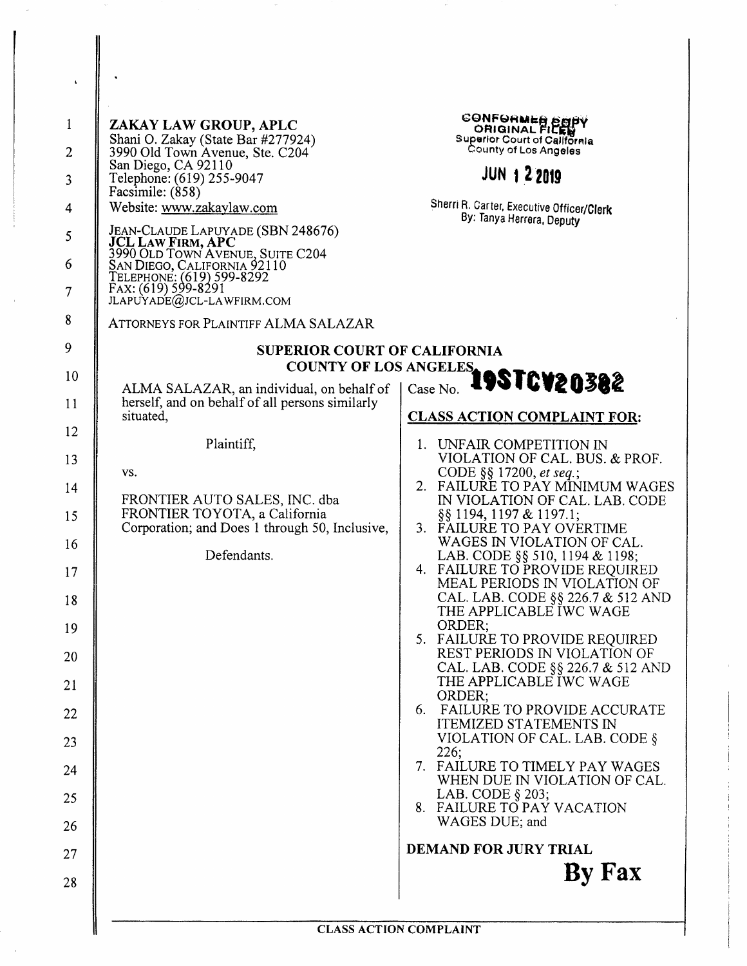| $\mathbf{1}$            | ZAKAY LAW GROUP, APLC                                                                                                               | <b>CONFORMER BOPY</b>                                                  |
|-------------------------|-------------------------------------------------------------------------------------------------------------------------------------|------------------------------------------------------------------------|
| $\boldsymbol{2}$        | Shani O. Zakay (State Bar #277924)<br>3990 Old Town Avenue, Ste. C204                                                               | <b>Superior Court of California</b><br>County of Los Angeles           |
| 3                       | San Diego, CA 92110<br>Telephone: (619) 255-9047                                                                                    | <b>JUN 1 2 2019</b>                                                    |
| $\overline{\mathbf{4}}$ | Facsimile: (858)<br>Website: www.zakaylaw.com                                                                                       | Sherri R. Carter, Executive Officer/Clerk                              |
| 5                       |                                                                                                                                     | By: Tanya Herrera, Deputy                                              |
| 6                       | <b>JEAN-CLAUDE LAPUYADE (SBN 248676)<br/>JCL LAW FIRM, APC<br/>3990 OLD TOWN AVENUE, SUITE C204<br/>SAN DIEGO, CALIFORNIA 92110</b> |                                                                        |
| 7                       | TELEPHONE: (619) 599-8292<br>FAX: (619) 599-8291                                                                                    |                                                                        |
| 8                       | JLAPUYADE@JCL-LAWFIRM.COM                                                                                                           |                                                                        |
|                         | <b>ATTORNEYS FOR PLAINTIFF ALMA SALAZAR</b>                                                                                         |                                                                        |
| 9<br>10                 | <b>SUPERIOR COURT OF CALIFORNIA</b><br><b>COUNTY OF LOS ANGELES</b>                                                                 |                                                                        |
| 11                      | ALMA SALAZAR, an individual, on behalf of<br>herself, and on behalf of all persons similarly                                        | I9STCV20382<br>Case No.                                                |
| 12                      | situated,                                                                                                                           | <b>CLASS ACTION COMPLAINT FOR:</b>                                     |
|                         | Plaintiff,                                                                                                                          | 1. UNFAIR COMPETITION IN                                               |
| 13                      | VS.                                                                                                                                 | VIOLATION OF CAL. BUS. & PROF.<br>CODE §§ 17200, et seq.;              |
| 14                      | FRONTIER AUTO SALES, INC. dba                                                                                                       | 2. FAILURE TO PAY MINIMUM WAGES<br>IN VIOLATION OF CAL. LAB. CODE      |
| 15                      | FRONTIER TOYOTA, a California<br>Corporation; and Does 1 through 50, Inclusive,                                                     | §§ 1194, 1197 & 1197.1;<br>3. FAILURE TO PAY OVERTIME                  |
| 16                      | Defendants.                                                                                                                         | WAGES IN VIOLATION OF CAL.<br>LAB. CODE §§ 510, 1194 & 1198;           |
| 17                      |                                                                                                                                     | 4. FAILURE TO PROVIDE REQUIRED<br>MEAL PERIODS IN VIOLATION OF         |
| 18                      |                                                                                                                                     | CAL. LAB. CODE §§ 226.7 & 512 AND<br>THE APPLICABLE IWC WAGE<br>ORDER; |
| 19                      |                                                                                                                                     | 5. FAILURE TO PROVIDE REQUIRED                                         |
| 20                      |                                                                                                                                     | REST PERIODS IN VIOLATION OF<br>CAL. LAB. CODE §§ 226.7 & 512 AND      |
| 21                      |                                                                                                                                     | THE APPLICABLE IWC WAGE<br>ORDER:                                      |
| 22                      |                                                                                                                                     | 6. FAILURE TO PROVIDE ACCURATE<br><b>ITEMIZED STATEMENTS IN</b>        |
| 23                      |                                                                                                                                     | VIOLATION OF CAL. LAB. CODE §<br>226;                                  |
| 24                      |                                                                                                                                     | 7. FAILURE TO TIMELY PAY WAGES<br>WHEN DUE IN VIOLATION OF CAL.        |
| 25                      |                                                                                                                                     | LAB. CODE § 203;<br>8. FAILURE TO PAY VACATION                         |
| 26                      |                                                                                                                                     | WAGES DUE; and                                                         |
| 27                      |                                                                                                                                     | <b>DEMAND FOR JURY TRIAL</b><br>By Fax                                 |
| 28                      |                                                                                                                                     |                                                                        |
|                         |                                                                                                                                     | <b>CLASS ACTION COMPLAINT</b>                                          |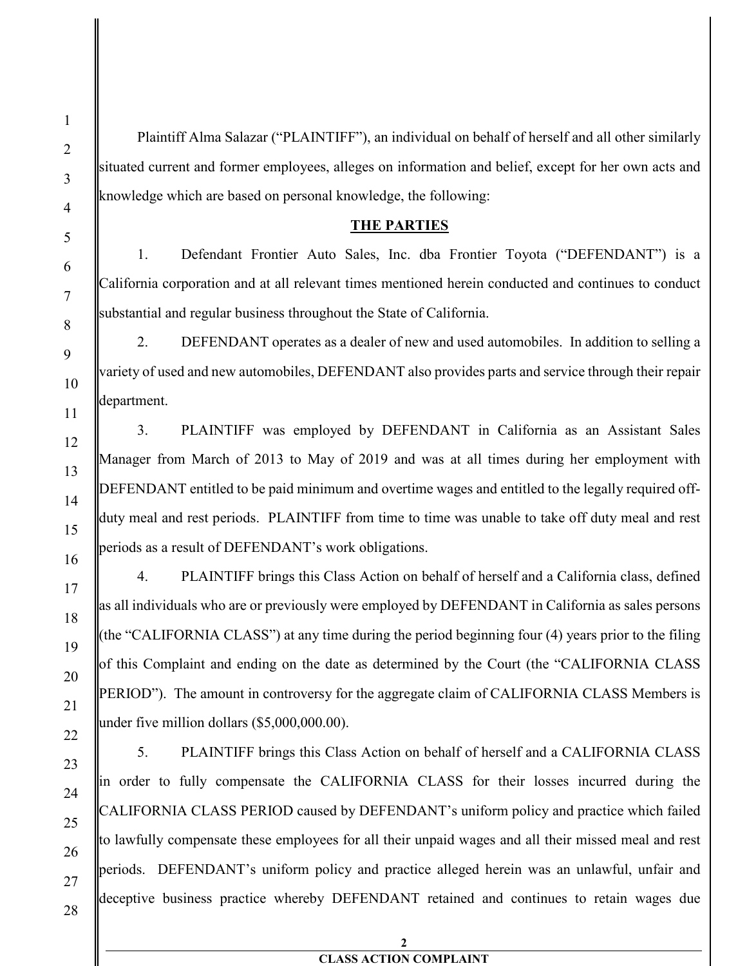Plaintiff Alma Salazar ("PLAINTIFF"), an individual on behalf of herself and all other similarly situated current and former employees, alleges on information and belief, except for her own acts and knowledge which are based on personal knowledge, the following:

#### **THE PARTIES**

1. Defendant Frontier Auto Sales, Inc. dba Frontier Toyota ("DEFENDANT") is a California corporation and at all relevant times mentioned herein conducted and continues to conduct substantial and regular business throughout the State of California.

2. DEFENDANT operates as a dealer of new and used automobiles. In addition to selling a variety of used and new automobiles, DEFENDANT also provides parts and service through their repair department.

3. PLAINTIFF was employed by DEFENDANT in California as an Assistant Sales Manager from March of 2013 to May of 2019 and was at all times during her employment with DEFENDANT entitled to be paid minimum and overtime wages and entitled to the legally required offduty meal and rest periods. PLAINTIFF from time to time was unable to take off duty meal and rest periods as a result of DEFENDANT's work obligations.

4. PLAINTIFF brings this Class Action on behalf of herself and a California class, defined as all individuals who are or previously were employed by DEFENDANT in California as sales persons (the "CALIFORNIA CLASS") at any time during the period beginning four (4) years prior to the filing of this Complaint and ending on the date as determined by the Court (the "CALIFORNIA CLASS PERIOD"). The amount in controversy for the aggregate claim of CALIFORNIA CLASS Members is under five million dollars (\$5,000,000.00).

5. PLAINTIFF brings this Class Action on behalf of herself and a CALIFORNIA CLASS in order to fully compensate the CALIFORNIA CLASS for their losses incurred during the CALIFORNIA CLASS PERIOD caused by DEFENDANT's uniform policy and practice which failed to lawfully compensate these employees for all their unpaid wages and all their missed meal and rest periods. DEFENDANT's uniform policy and practice alleged herein was an unlawful, unfair and deceptive business practice whereby DEFENDANT retained and continues to retain wages due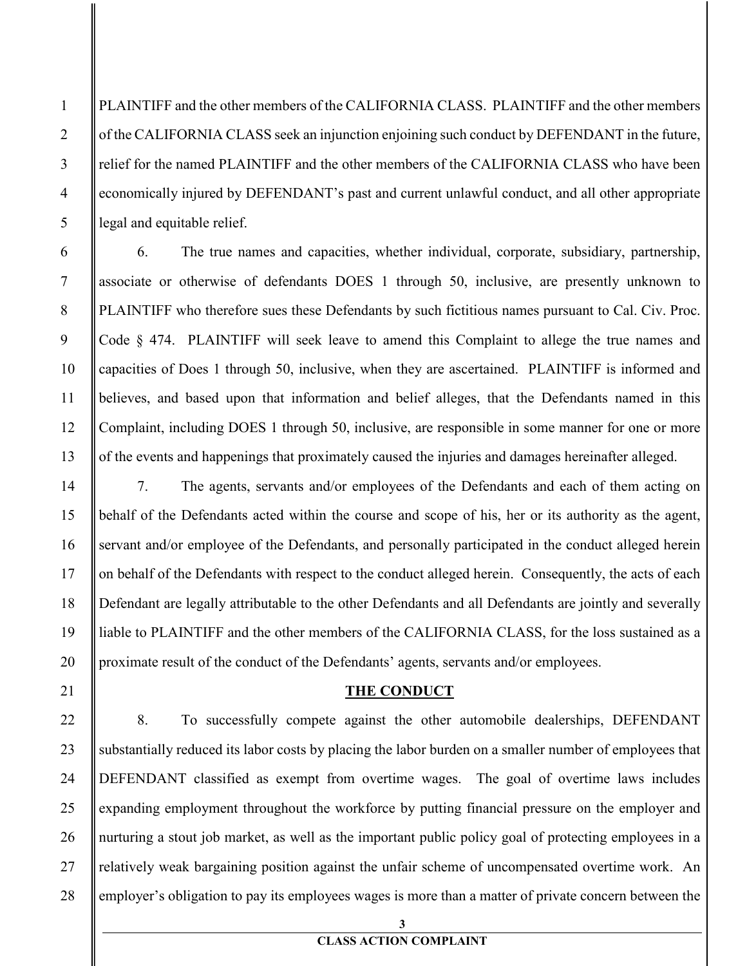1 2 3 4 5 PLAINTIFF and the other members of the CALIFORNIA CLASS. PLAINTIFF and the other members of the CALIFORNIA CLASS seek an injunction enjoining such conduct by DEFENDANT in the future, relief for the named PLAINTIFF and the other members of the CALIFORNIA CLASS who have been economically injured by DEFENDANT's past and current unlawful conduct, and all other appropriate legal and equitable relief.

6

7

8

9

21

10 11 12 13 6. The true names and capacities, whether individual, corporate, subsidiary, partnership, associate or otherwise of defendants DOES 1 through 50, inclusive, are presently unknown to PLAINTIFF who therefore sues these Defendants by such fictitious names pursuant to Cal. Civ. Proc. Code § 474. PLAINTIFF will seek leave to amend this Complaint to allege the true names and capacities of Does 1 through 50, inclusive, when they are ascertained. PLAINTIFF is informed and believes, and based upon that information and belief alleges, that the Defendants named in this Complaint, including DOES 1 through 50, inclusive, are responsible in some manner for one or more of the events and happenings that proximately caused the injuries and damages hereinafter alleged.

14 15 16 17 18 19 20 7. The agents, servants and/or employees of the Defendants and each of them acting on behalf of the Defendants acted within the course and scope of his, her or its authority as the agent, servant and/or employee of the Defendants, and personally participated in the conduct alleged herein on behalf of the Defendants with respect to the conduct alleged herein. Consequently, the acts of each Defendant are legally attributable to the other Defendants and all Defendants are jointly and severally liable to PLAINTIFF and the other members of the CALIFORNIA CLASS, for the loss sustained as a proximate result of the conduct of the Defendants' agents, servants and/or employees.

**THE CONDUCT**

22 23 24 25 26 27 28 8. To successfully compete against the other automobile dealerships, DEFENDANT substantially reduced its labor costs by placing the labor burden on a smaller number of employees that DEFENDANT classified as exempt from overtime wages. The goal of overtime laws includes expanding employment throughout the workforce by putting financial pressure on the employer and nurturing a stout job market, as well as the important public policy goal of protecting employees in a relatively weak bargaining position against the unfair scheme of uncompensated overtime work. An employer's obligation to pay its employees wages is more than a matter of private concern between the

**3**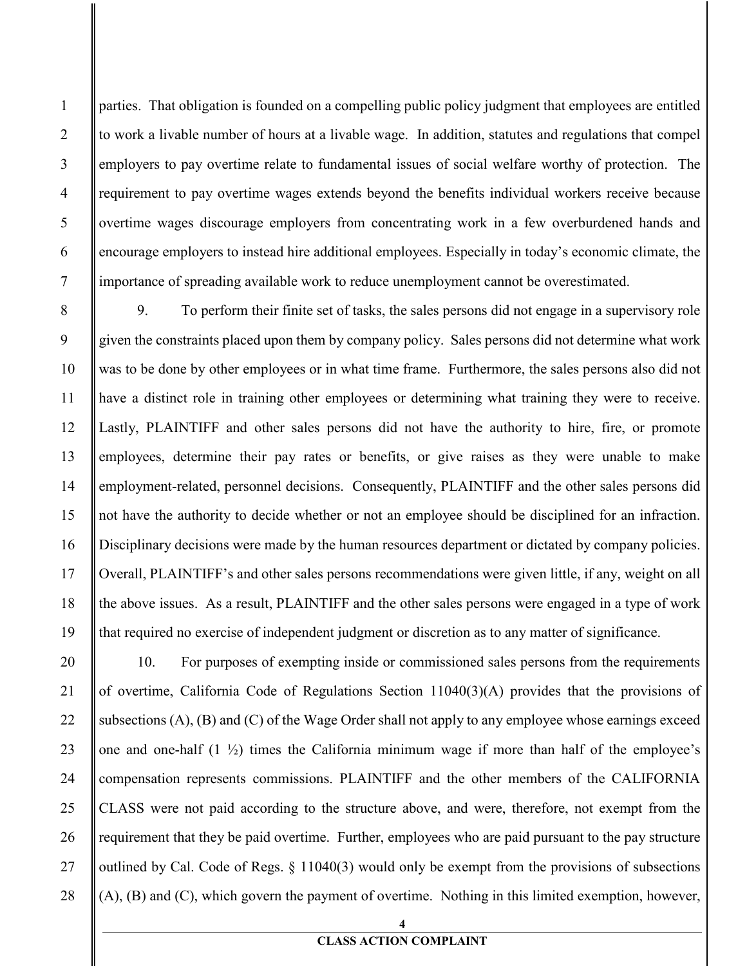1 2 3 4 5 6 7 parties. That obligation is founded on a compelling public policy judgment that employees are entitled to work a livable number of hours at a livable wage. In addition, statutes and regulations that compel employers to pay overtime relate to fundamental issues of social welfare worthy of protection. The requirement to pay overtime wages extends beyond the benefits individual workers receive because overtime wages discourage employers from concentrating work in a few overburdened hands and encourage employers to instead hire additional employees. Especially in today's economic climate, the importance of spreading available work to reduce unemployment cannot be overestimated.

8 9 10 11 12 13 14 15 16 17 18 19 9. To perform their finite set of tasks, the sales persons did not engage in a supervisory role given the constraints placed upon them by company policy. Sales persons did not determine what work was to be done by other employees or in what time frame. Furthermore, the sales persons also did not have a distinct role in training other employees or determining what training they were to receive. Lastly, PLAINTIFF and other sales persons did not have the authority to hire, fire, or promote employees, determine their pay rates or benefits, or give raises as they were unable to make employment-related, personnel decisions. Consequently, PLAINTIFF and the other sales persons did not have the authority to decide whether or not an employee should be disciplined for an infraction. Disciplinary decisions were made by the human resources department or dictated by company policies. Overall, PLAINTIFF's and other sales persons recommendations were given little, if any, weight on all the above issues. As a result, PLAINTIFF and the other sales persons were engaged in a type of work that required no exercise of independent judgment or discretion as to any matter of significance.

20 21 22 23 24 25 26 27 28 10. For purposes of exempting inside or commissioned sales persons from the requirements of overtime, California Code of Regulations Section 11040(3)(A) provides that the provisions of subsections  $(A)$ ,  $(B)$  and  $(C)$  of the Wage Order shall not apply to any employee whose earnings exceed one and one-half  $(1 \frac{1}{2})$  times the California minimum wage if more than half of the employee's compensation represents commissions. PLAINTIFF and the other members of the CALIFORNIA CLASS were not paid according to the structure above, and were, therefore, not exempt from the requirement that they be paid overtime. Further, employees who are paid pursuant to the pay structure outlined by Cal. Code of Regs. § 11040(3) would only be exempt from the provisions of subsections (A), (B) and (C), which govern the payment of overtime. Nothing in this limited exemption, however,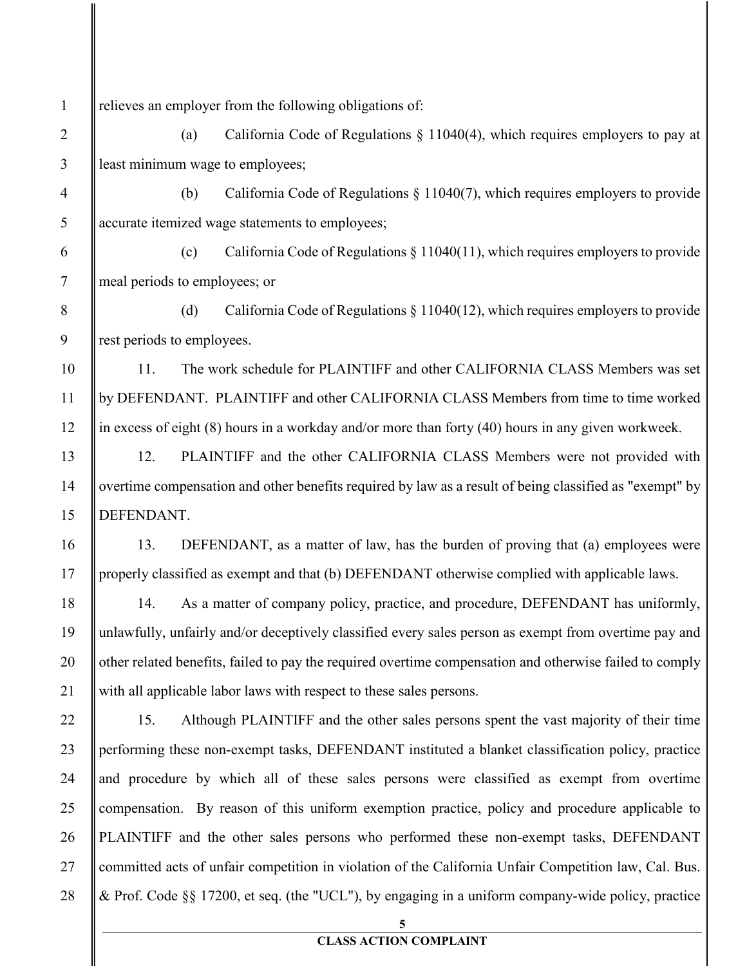| $\mathbf{1}$   | relieves an employer from the following obligations of:                                                 |
|----------------|---------------------------------------------------------------------------------------------------------|
| $\overline{2}$ | California Code of Regulations $\S$ 11040(4), which requires employers to pay at<br>(a)                 |
| $\overline{3}$ | least minimum wage to employees;                                                                        |
| $\overline{4}$ | California Code of Regulations $\S$ 11040(7), which requires employers to provide<br>(b)                |
| 5              | accurate itemized wage statements to employees;                                                         |
| 6              | California Code of Regulations $\S 11040(11)$ , which requires employers to provide<br>(c)              |
| $\tau$         | meal periods to employees; or                                                                           |
| 8              | California Code of Regulations $\S 11040(12)$ , which requires employers to provide<br>(d)              |
| 9              | rest periods to employees.                                                                              |
| 10             | The work schedule for PLAINTIFF and other CALIFORNIA CLASS Members was set<br>11.                       |
| 11             | by DEFENDANT. PLAINTIFF and other CALIFORNIA CLASS Members from time to time worked                     |
| 12             | in excess of eight $(8)$ hours in a workday and/or more than forty $(40)$ hours in any given workweek.  |
| 13             | 12.<br>PLAINTIFF and the other CALIFORNIA CLASS Members were not provided with                          |
| 14             | overtime compensation and other benefits required by law as a result of being classified as "exempt" by |
| 15             | DEFENDANT.                                                                                              |
| 16             | 13.<br>DEFENDANT, as a matter of law, has the burden of proving that (a) employees were                 |
| 17             | properly classified as exempt and that (b) DEFENDANT otherwise complied with applicable laws.           |
| 18             | As a matter of company policy, practice, and procedure, DEFENDANT has uniformly,<br>14.                 |
| 19             | unlawfully, unfairly and/or deceptively classified every sales person as exempt from overtime pay and   |
| 20             | other related benefits, failed to pay the required overtime compensation and otherwise failed to comply |
| 21             | with all applicable labor laws with respect to these sales persons.                                     |
| 22             | Although PLAINTIFF and the other sales persons spent the vast majority of their time<br>15.             |
| 23             | performing these non-exempt tasks, DEFENDANT instituted a blanket classification policy, practice       |
| 24             | and procedure by which all of these sales persons were classified as exempt from overtime               |
| 25             | compensation. By reason of this uniform exemption practice, policy and procedure applicable to          |
| 26             | PLAINTIFF and the other sales persons who performed these non-exempt tasks, DEFENDANT                   |
| 27             | committed acts of unfair competition in violation of the California Unfair Competition law, Cal. Bus.   |
| 28             | & Prof. Code §§ 17200, et seq. (the "UCL"), by engaging in a uniform company-wide policy, practice      |
|                | 5                                                                                                       |

**CLASS ACTION COMPLAINT**

I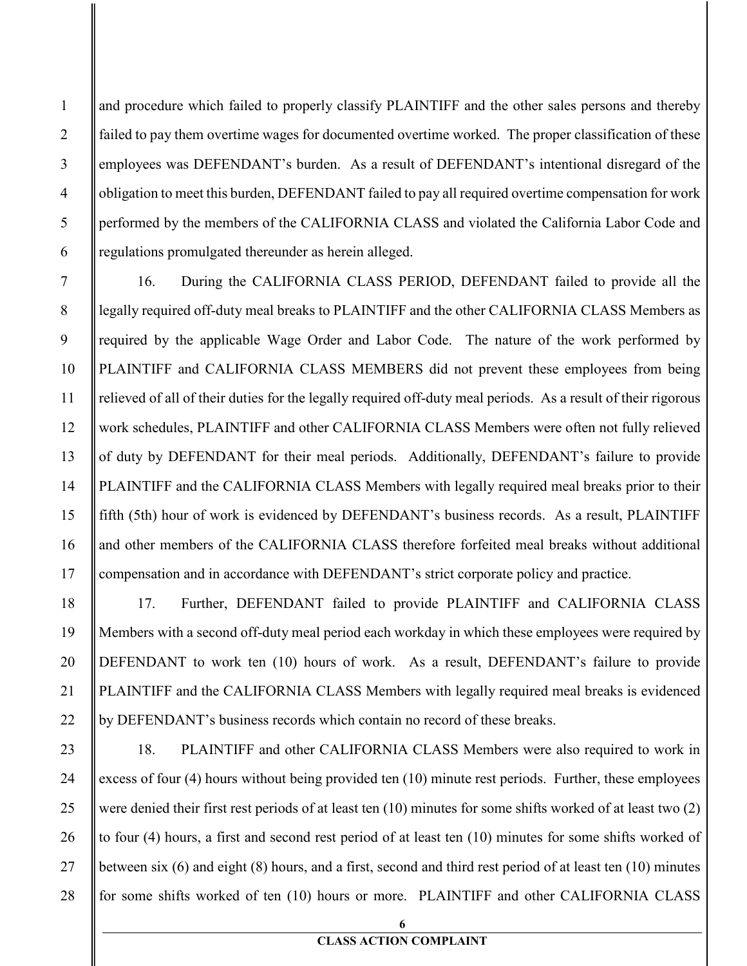1 2 3 4 5 6 and procedure which failed to properly classify PLAINTIFF and the other sales persons and thereby failed to pay them overtime wages for documented overtime worked. The proper classification of these employees was DEFENDANT's burden. As a result of DEFENDANT's intentional disregard of the obligation to meet this burden, DEFENDANT failed to pay all required overtime compensation for work performed by the members of the CALIFORNIA CLASS and violated the California Labor Code and regulations promulgated thereunder as herein alleged.

7 8 9 10 11 12 13 14 15 16 17 16. During the CALIFORNIA CLASS PERIOD, DEFENDANT failed to provide all the legally required off-duty meal breaks to PLAINTIFF and the other CALIFORNIA CLASS Members as required by the applicable Wage Order and Labor Code. The nature of the work performed by PLAINTIFF and CALIFORNIA CLASS MEMBERS did not prevent these employees from being relieved of all of their duties for the legally required off-duty meal periods. As a result of their rigorous work schedules, PLAINTIFF and other CALIFORNIA CLASS Members were often not fully relieved of duty by DEFENDANT for their meal periods. Additionally, DEFENDANT's failure to provide PLAINTIFF and the CALIFORNIA CLASS Members with legally required meal breaks prior to their fifth (5th) hour of work is evidenced by DEFENDANT's business records. As a result, PLAINTIFF and other members of the CALIFORNIA CLASS therefore forfeited meal breaks without additional compensation and in accordance with DEFENDANT's strict corporate policy and practice.

18 19 20 21 22 17. Further, DEFENDANT failed to provide PLAINTIFF and CALIFORNIA CLASS Members with a second off-duty meal period each workday in which these employees were required by DEFENDANT to work ten (10) hours of work. As a result, DEFENDANT's failure to provide PLAINTIFF and the CALIFORNIA CLASS Members with legally required meal breaks is evidenced by DEFENDANT's business records which contain no record of these breaks.

23 24 25 26 27 28 18. PLAINTIFF and other CALIFORNIA CLASS Members were also required to work in excess of four (4) hours without being provided ten (10) minute rest periods. Further, these employees were denied their first rest periods of at least ten (10) minutes for some shifts worked of at least two (2) to four (4) hours, a first and second rest period of at least ten (10) minutes for some shifts worked of between six (6) and eight (8) hours, and a first, second and third rest period of at least ten (10) minutes for some shifts worked of ten (10) hours or more. PLAINTIFF and other CALIFORNIA CLASS

**6**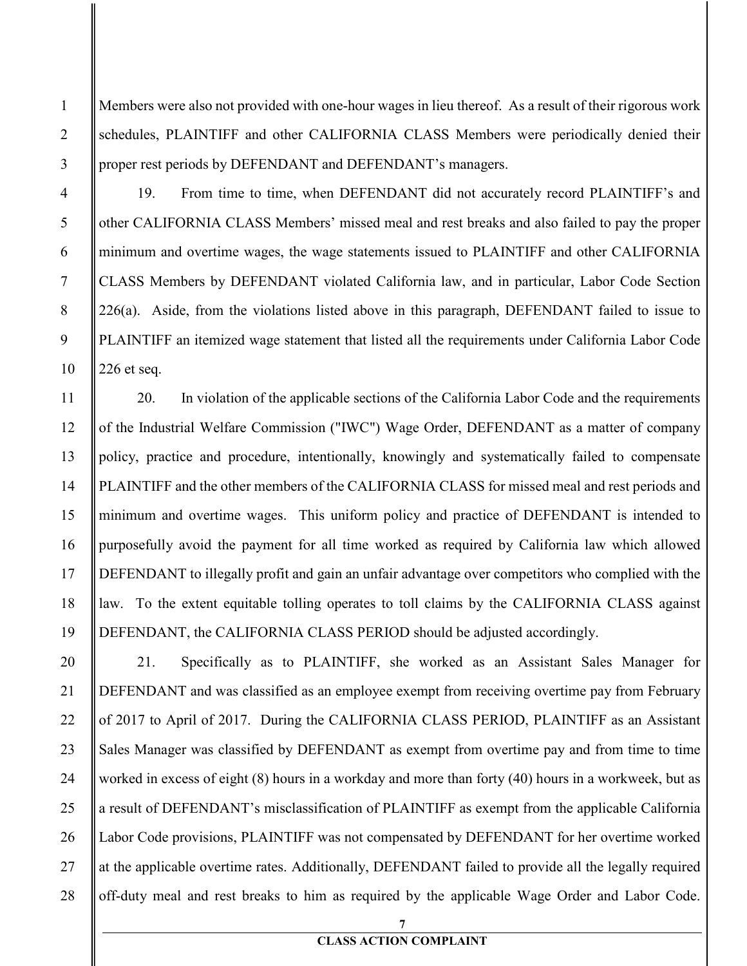Members were also not provided with one-hour wages in lieu thereof. As a result of their rigorous work schedules, PLAINTIFF and other CALIFORNIA CLASS Members were periodically denied their proper rest periods by DEFENDANT and DEFENDANT's managers.

1

2

3

4

5

6

7

8

9

10 19. From time to time, when DEFENDANT did not accurately record PLAINTIFF's and other CALIFORNIA CLASS Members' missed meal and rest breaks and also failed to pay the proper minimum and overtime wages, the wage statements issued to PLAINTIFF and other CALIFORNIA CLASS Members by DEFENDANT violated California law, and in particular, Labor Code Section 226(a). Aside, from the violations listed above in this paragraph, DEFENDANT failed to issue to PLAINTIFF an itemized wage statement that listed all the requirements under California Labor Code 226 et seq.

11 12 13 14 15 16 17 18 19 20. In violation of the applicable sections of the California Labor Code and the requirements of the Industrial Welfare Commission ("IWC") Wage Order, DEFENDANT as a matter of company policy, practice and procedure, intentionally, knowingly and systematically failed to compensate PLAINTIFF and the other members of the CALIFORNIA CLASS for missed meal and rest periods and minimum and overtime wages. This uniform policy and practice of DEFENDANT is intended to purposefully avoid the payment for all time worked as required by California law which allowed DEFENDANT to illegally profit and gain an unfair advantage over competitors who complied with the law. To the extent equitable tolling operates to toll claims by the CALIFORNIA CLASS against DEFENDANT, the CALIFORNIA CLASS PERIOD should be adjusted accordingly.

20 21 22 23 24 25 26 27 28 21. Specifically as to PLAINTIFF, she worked as an Assistant Sales Manager for DEFENDANT and was classified as an employee exempt from receiving overtime pay from February of 2017 to April of 2017. During the CALIFORNIA CLASS PERIOD, PLAINTIFF as an Assistant Sales Manager was classified by DEFENDANT as exempt from overtime pay and from time to time worked in excess of eight (8) hours in a workday and more than forty (40) hours in a workweek, but as a result of DEFENDANT's misclassification of PLAINTIFF as exempt from the applicable California Labor Code provisions, PLAINTIFF was not compensated by DEFENDANT for her overtime worked at the applicable overtime rates. Additionally, DEFENDANT failed to provide all the legally required off-duty meal and rest breaks to him as required by the applicable Wage Order and Labor Code.

**CLASS ACTION COMPLAINT**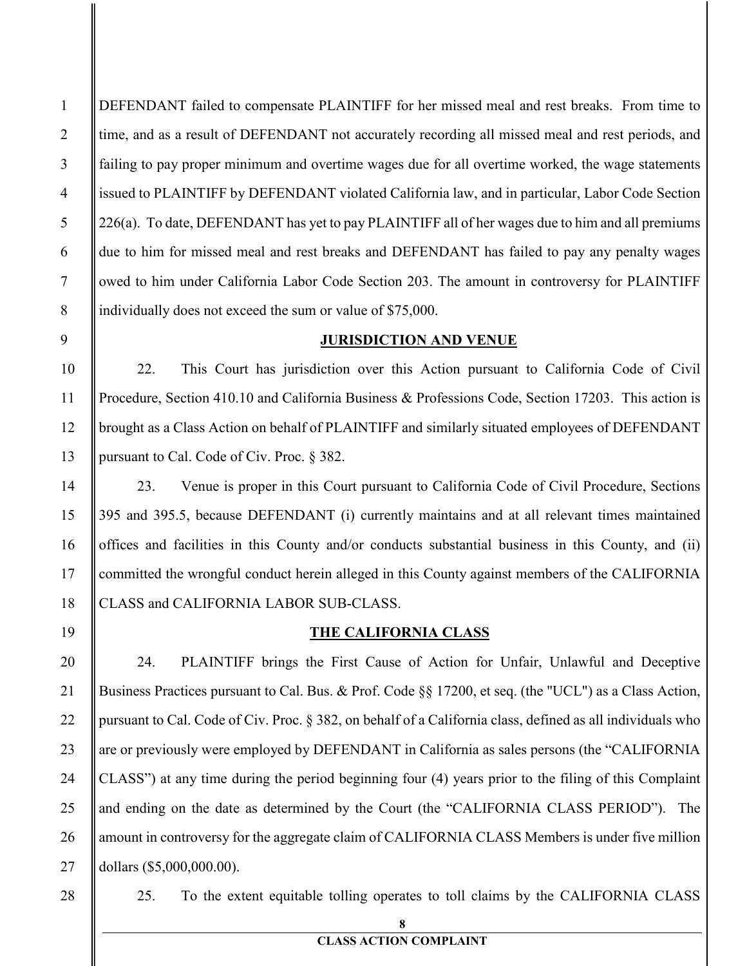DEFENDANT failed to compensate PLAINTIFF for her missed meal and rest breaks. From time to time, and as a result of DEFENDANT not accurately recording all missed meal and rest periods, and failing to pay proper minimum and overtime wages due for all overtime worked, the wage statements issued to PLAINTIFF by DEFENDANT violated California law, and in particular, Labor Code Section 226(a). To date, DEFENDANT has yet to pay PLAINTIFF all of her wages due to him and all premiums due to him for missed meal and rest breaks and DEFENDANT has failed to pay any penalty wages owed to him under California Labor Code Section 203. The amount in controversy for PLAINTIFF individually does not exceed the sum or value of \$75,000.

### **JURISDICTION AND VENUE**

22. This Court has jurisdiction over this Action pursuant to California Code of Civil Procedure, Section 410.10 and California Business & Professions Code, Section 17203. This action is brought as a Class Action on behalf of PLAINTIFF and similarly situated employees of DEFENDANT pursuant to Cal. Code of Civ. Proc. § 382.

14 15 16 17 18 23. Venue is proper in this Court pursuant to California Code of Civil Procedure, Sections 395 and 395.5, because DEFENDANT (i) currently maintains and at all relevant times maintained offices and facilities in this County and/or conducts substantial business in this County, and (ii) committed the wrongful conduct herein alleged in this County against members of the CALIFORNIA CLASS and CALIFORNIA LABOR SUB-CLASS.

19

1

2

3

4

5

6

7

8

9

10

11

12

13

### **THE CALIFORNIA CLASS**

20 21 22 23 24 25 26 27 24. PLAINTIFF brings the First Cause of Action for Unfair, Unlawful and Deceptive Business Practices pursuant to Cal. Bus. & Prof. Code §§ 17200, et seq. (the "UCL") as a Class Action, pursuant to Cal. Code of Civ. Proc. § 382, on behalf of a California class, defined as all individuals who are or previously were employed by DEFENDANT in California as sales persons (the "CALIFORNIA CLASS") at any time during the period beginning four (4) years prior to the filing of this Complaint and ending on the date as determined by the Court (the "CALIFORNIA CLASS PERIOD"). The amount in controversy for the aggregate claim of CALIFORNIA CLASS Members is under five million dollars (\$5,000,000.00).

28

25. To the extent equitable tolling operates to toll claims by the CALIFORNIA CLASS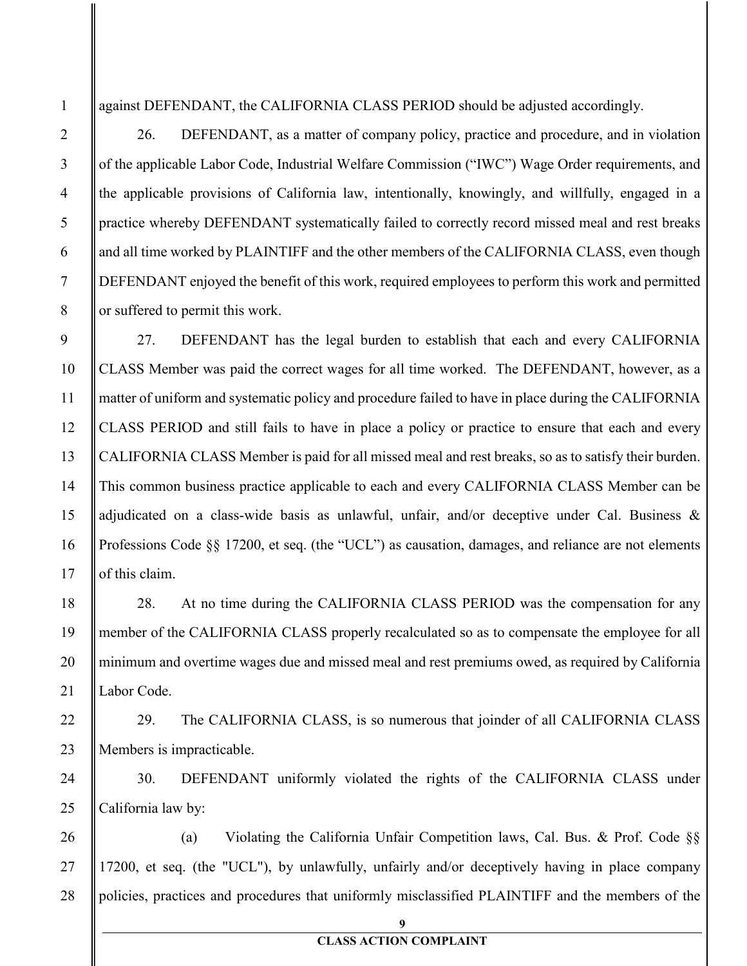2

3

4

5

6

7

8

against DEFENDANT, the CALIFORNIA CLASS PERIOD should be adjusted accordingly.

26. DEFENDANT, as a matter of company policy, practice and procedure, and in violation of the applicable Labor Code, Industrial Welfare Commission ("IWC") Wage Order requirements, and the applicable provisions of California law, intentionally, knowingly, and willfully, engaged in a practice whereby DEFENDANT systematically failed to correctly record missed meal and rest breaks and all time worked by PLAINTIFF and the other members of the CALIFORNIA CLASS, even though DEFENDANT enjoyed the benefit of this work, required employees to perform this work and permitted or suffered to permit this work.

9 10 11 12 13 14 15 16 17 27. DEFENDANT has the legal burden to establish that each and every CALIFORNIA CLASS Member was paid the correct wages for all time worked. The DEFENDANT, however, as a matter of uniform and systematic policy and procedure failed to have in place during the CALIFORNIA CLASS PERIOD and still fails to have in place a policy or practice to ensure that each and every CALIFORNIA CLASS Member is paid for all missed meal and rest breaks, so as to satisfy their burden. This common business practice applicable to each and every CALIFORNIA CLASS Member can be adjudicated on a class-wide basis as unlawful, unfair, and/or deceptive under Cal. Business & Professions Code §§ 17200, et seq. (the "UCL") as causation, damages, and reliance are not elements of this claim.

18 19 20 21 28. At no time during the CALIFORNIA CLASS PERIOD was the compensation for any member of the CALIFORNIA CLASS properly recalculated so as to compensate the employee for all minimum and overtime wages due and missed meal and rest premiums owed, as required by California Labor Code.

22 23 29. The CALIFORNIA CLASS, is so numerous that joinder of all CALIFORNIA CLASS Members is impracticable.

24 25 30. DEFENDANT uniformly violated the rights of the CALIFORNIA CLASS under California law by:

26 27 28 (a) Violating the California Unfair Competition laws, Cal. Bus. & Prof. Code §§ 17200, et seq. (the "UCL"), by unlawfully, unfairly and/or deceptively having in place company policies, practices and procedures that uniformly misclassified PLAINTIFF and the members of the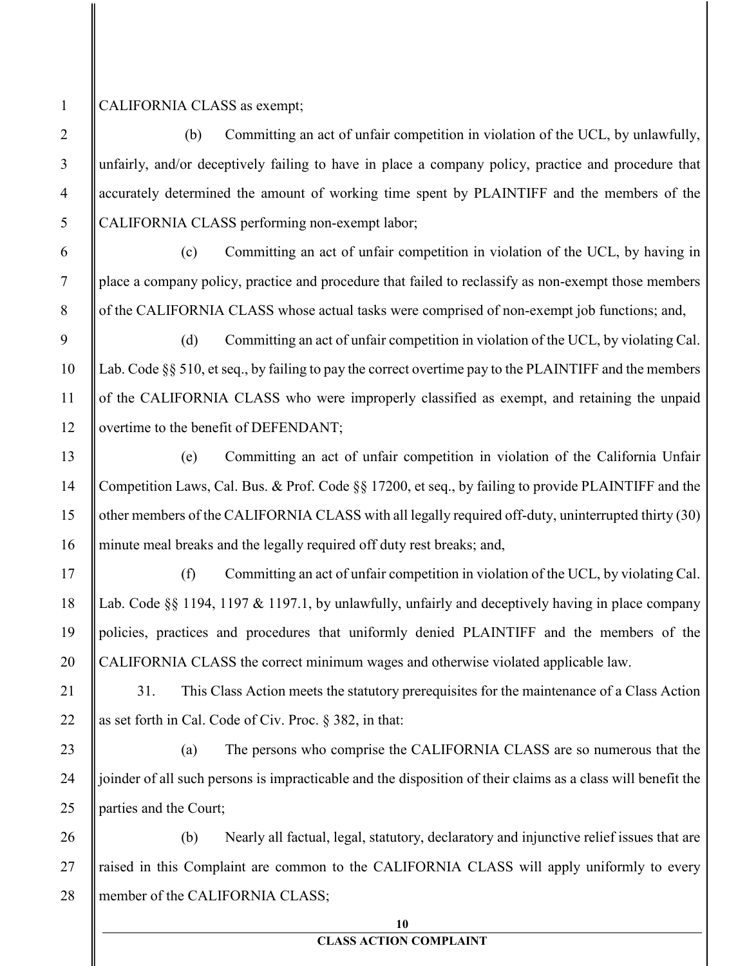2

3

4

5

6

7

8

9

10

11

12

CALIFORNIA CLASS as exempt;

(b) Committing an act of unfair competition in violation of the UCL, by unlawfully, unfairly, and/or deceptively failing to have in place a company policy, practice and procedure that accurately determined the amount of working time spent by PLAINTIFF and the members of the CALIFORNIA CLASS performing non-exempt labor;

(c) Committing an act of unfair competition in violation of the UCL, by having in place a company policy, practice and procedure that failed to reclassify as non-exempt those members of the CALIFORNIA CLASS whose actual tasks were comprised of non-exempt job functions; and,

(d) Committing an act of unfair competition in violation of the UCL, by violating Cal. Lab. Code §§ 510, et seq., by failing to pay the correct overtime pay to the PLAINTIFF and the members of the CALIFORNIA CLASS who were improperly classified as exempt, and retaining the unpaid overtime to the benefit of DEFENDANT;

13 14 15 16 (e) Committing an act of unfair competition in violation of the California Unfair Competition Laws, Cal. Bus. & Prof. Code §§ 17200, et seq., by failing to provide PLAINTIFF and the other members of the CALIFORNIA CLASS with all legally required off-duty, uninterrupted thirty (30) minute meal breaks and the legally required off duty rest breaks; and,

17 18 19 20 (f) Committing an act of unfair competition in violation of the UCL, by violating Cal. Lab. Code §§ 1194, 1197 & 1197.1, by unlawfully, unfairly and deceptively having in place company policies, practices and procedures that uniformly denied PLAINTIFF and the members of the CALIFORNIA CLASS the correct minimum wages and otherwise violated applicable law.

21 22 31. This Class Action meets the statutory prerequisites for the maintenance of a Class Action as set forth in Cal. Code of Civ. Proc. § 382, in that:

23 24 25 (a) The persons who comprise the CALIFORNIA CLASS are so numerous that the joinder of all such persons is impracticable and the disposition of their claims as a class will benefit the parties and the Court;

26 27 28 (b) Nearly all factual, legal, statutory, declaratory and injunctive relief issues that are raised in this Complaint are common to the CALIFORNIA CLASS will apply uniformly to every member of the CALIFORNIA CLASS;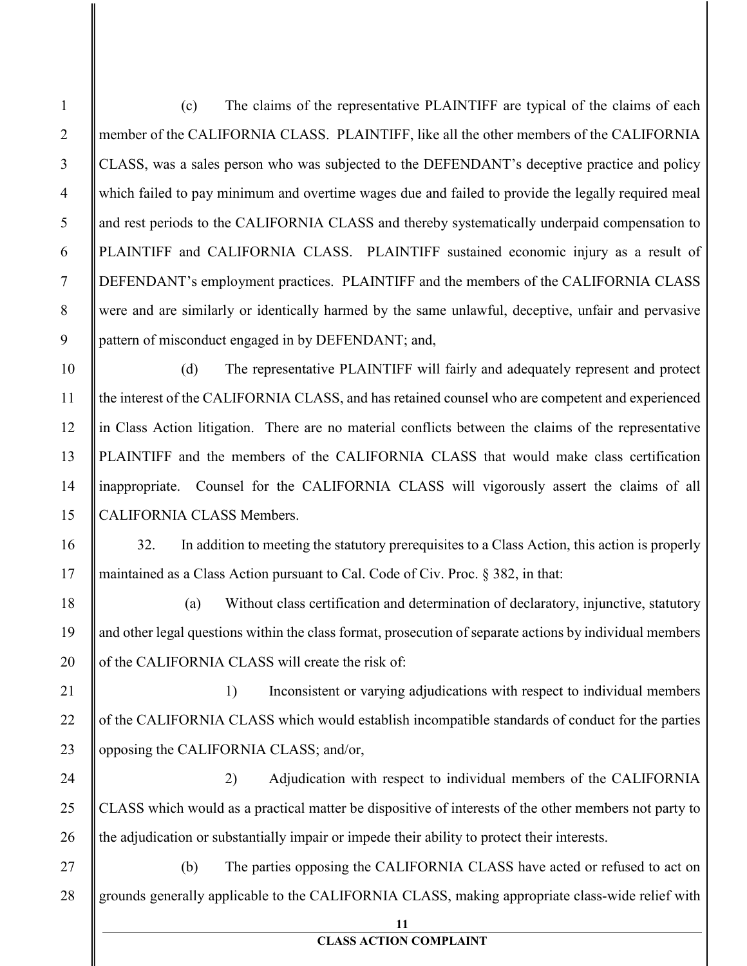1 2 3 4 5 6 7 8 9 (c) The claims of the representative PLAINTIFF are typical of the claims of each member of the CALIFORNIA CLASS. PLAINTIFF, like all the other members of the CALIFORNIA CLASS, was a sales person who was subjected to the DEFENDANT's deceptive practice and policy which failed to pay minimum and overtime wages due and failed to provide the legally required meal and rest periods to the CALIFORNIA CLASS and thereby systematically underpaid compensation to PLAINTIFF and CALIFORNIA CLASS. PLAINTIFF sustained economic injury as a result of DEFENDANT's employment practices. PLAINTIFF and the members of the CALIFORNIA CLASS were and are similarly or identically harmed by the same unlawful, deceptive, unfair and pervasive pattern of misconduct engaged in by DEFENDANT; and,

10 11 12 13 14 15 (d) The representative PLAINTIFF will fairly and adequately represent and protect the interest of the CALIFORNIA CLASS, and has retained counsel who are competent and experienced in Class Action litigation. There are no material conflicts between the claims of the representative PLAINTIFF and the members of the CALIFORNIA CLASS that would make class certification inappropriate. Counsel for the CALIFORNIA CLASS will vigorously assert the claims of all CALIFORNIA CLASS Members.

16 17 32. In addition to meeting the statutory prerequisites to a Class Action, this action is properly maintained as a Class Action pursuant to Cal. Code of Civ. Proc. § 382, in that:

18 19 20 (a) Without class certification and determination of declaratory, injunctive, statutory and other legal questions within the class format, prosecution of separate actions by individual members of the CALIFORNIA CLASS will create the risk of:

21 22 23 1) Inconsistent or varying adjudications with respect to individual members of the CALIFORNIA CLASS which would establish incompatible standards of conduct for the parties opposing the CALIFORNIA CLASS; and/or,

24 25 26 2) Adjudication with respect to individual members of the CALIFORNIA CLASS which would as a practical matter be dispositive of interests of the other members not party to the adjudication or substantially impair or impede their ability to protect their interests.

27 28 (b) The parties opposing the CALIFORNIA CLASS have acted or refused to act on grounds generally applicable to the CALIFORNIA CLASS, making appropriate class-wide relief with

**11**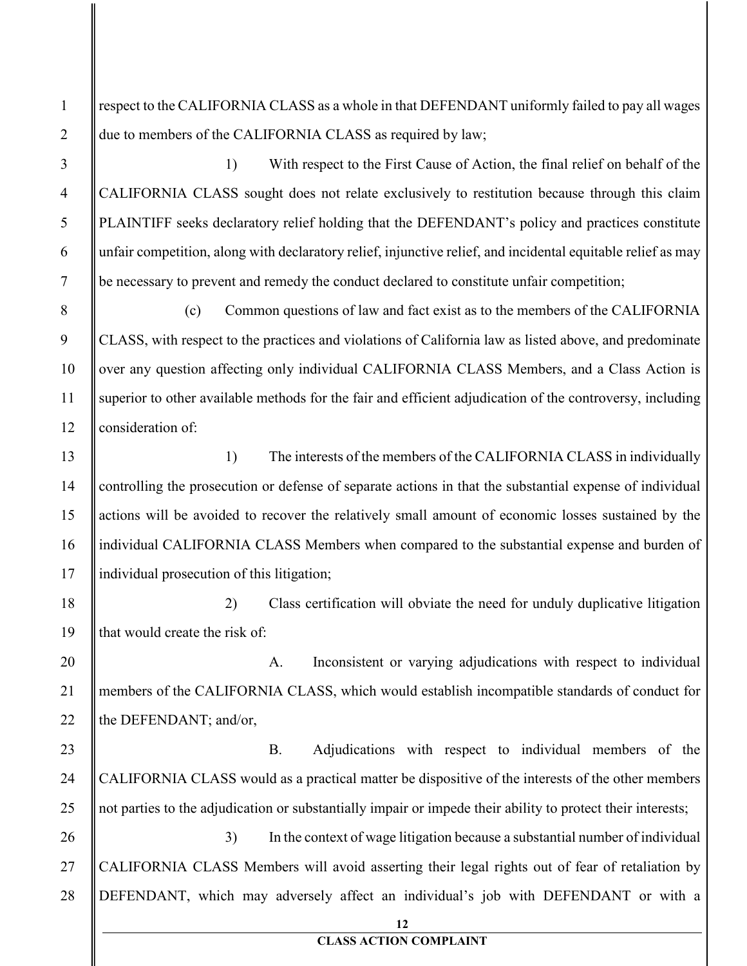1 2 respect to the CALIFORNIA CLASS as a whole in that DEFENDANT uniformly failed to pay all wages due to members of the CALIFORNIA CLASS as required by law;

3

4

5

6

7

8

9

1) With respect to the First Cause of Action, the final relief on behalf of the CALIFORNIA CLASS sought does not relate exclusively to restitution because through this claim PLAINTIFF seeks declaratory relief holding that the DEFENDANT's policy and practices constitute unfair competition, along with declaratory relief, injunctive relief, and incidental equitable relief as may be necessary to prevent and remedy the conduct declared to constitute unfair competition;

10 11 12 (c) Common questions of law and fact exist as to the members of the CALIFORNIA CLASS, with respect to the practices and violations of California law as listed above, and predominate over any question affecting only individual CALIFORNIA CLASS Members, and a Class Action is superior to other available methods for the fair and efficient adjudication of the controversy, including consideration of:

13 14 15 16 17 1) The interests of the members of the CALIFORNIA CLASS in individually controlling the prosecution or defense of separate actions in that the substantial expense of individual actions will be avoided to recover the relatively small amount of economic losses sustained by the individual CALIFORNIA CLASS Members when compared to the substantial expense and burden of individual prosecution of this litigation;

18 19 2) Class certification will obviate the need for unduly duplicative litigation that would create the risk of:

20 21 22 A. Inconsistent or varying adjudications with respect to individual members of the CALIFORNIA CLASS, which would establish incompatible standards of conduct for the DEFENDANT; and/or,

23 24 25 B. Adjudications with respect to individual members of the CALIFORNIA CLASS would as a practical matter be dispositive of the interests of the other members not parties to the adjudication or substantially impair or impede their ability to protect their interests;

26 27 28 3) In the context of wage litigation because a substantial number of individual CALIFORNIA CLASS Members will avoid asserting their legal rights out of fear of retaliation by DEFENDANT, which may adversely affect an individual's job with DEFENDANT or with a

**12**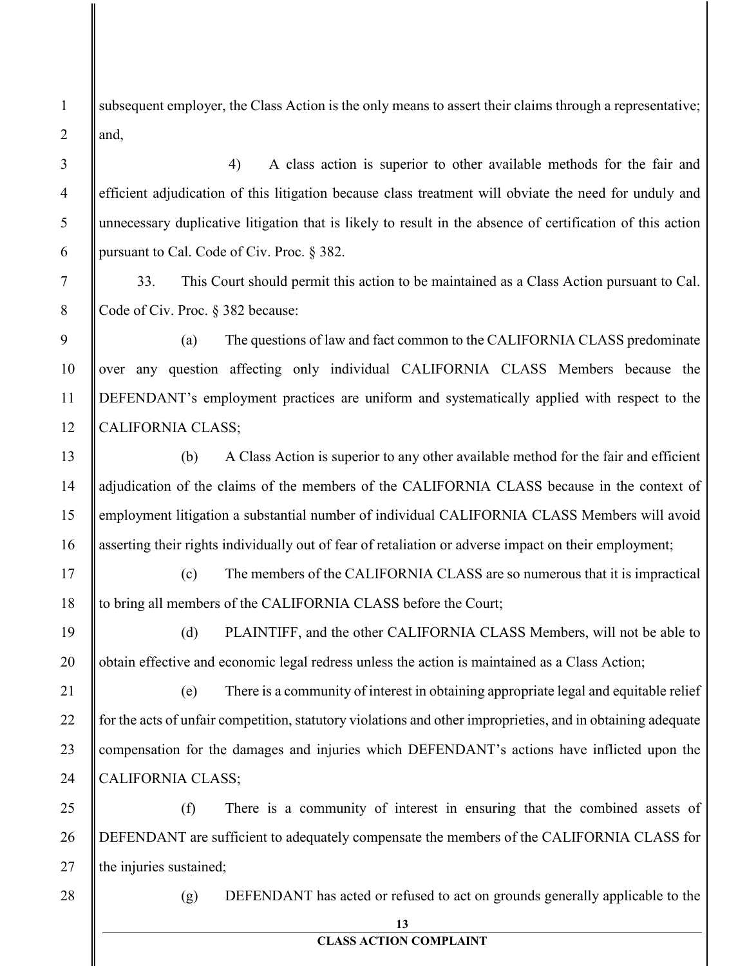1 2 subsequent employer, the Class Action is the only means to assert their claims through a representative; and,

4) A class action is superior to other available methods for the fair and efficient adjudication of this litigation because class treatment will obviate the need for unduly and unnecessary duplicative litigation that is likely to result in the absence of certification of this action pursuant to Cal. Code of Civ. Proc. § 382.

33. This Court should permit this action to be maintained as a Class Action pursuant to Cal. Code of Civ. Proc. § 382 because:

10 11 12 (a) The questions of law and fact common to the CALIFORNIA CLASS predominate over any question affecting only individual CALIFORNIA CLASS Members because the DEFENDANT's employment practices are uniform and systematically applied with respect to the CALIFORNIA CLASS;

13 14 15 16 (b) A Class Action is superior to any other available method for the fair and efficient adjudication of the claims of the members of the CALIFORNIA CLASS because in the context of employment litigation a substantial number of individual CALIFORNIA CLASS Members will avoid asserting their rights individually out of fear of retaliation or adverse impact on their employment;

17 18 (c) The members of the CALIFORNIA CLASS are so numerous that it is impractical to bring all members of the CALIFORNIA CLASS before the Court;

19 20 (d) PLAINTIFF, and the other CALIFORNIA CLASS Members, will not be able to obtain effective and economic legal redress unless the action is maintained as a Class Action;

21 22 23 24 (e) There is a community of interest in obtaining appropriate legal and equitable relief for the acts of unfair competition, statutory violations and other improprieties, and in obtaining adequate compensation for the damages and injuries which DEFENDANT's actions have inflicted upon the CALIFORNIA CLASS;

25 26 27 (f) There is a community of interest in ensuring that the combined assets of DEFENDANT are sufficient to adequately compensate the members of the CALIFORNIA CLASS for the injuries sustained;

28

3

4

5

6

7

8

9

(g) DEFENDANT has acted or refused to act on grounds generally applicable to the

**13**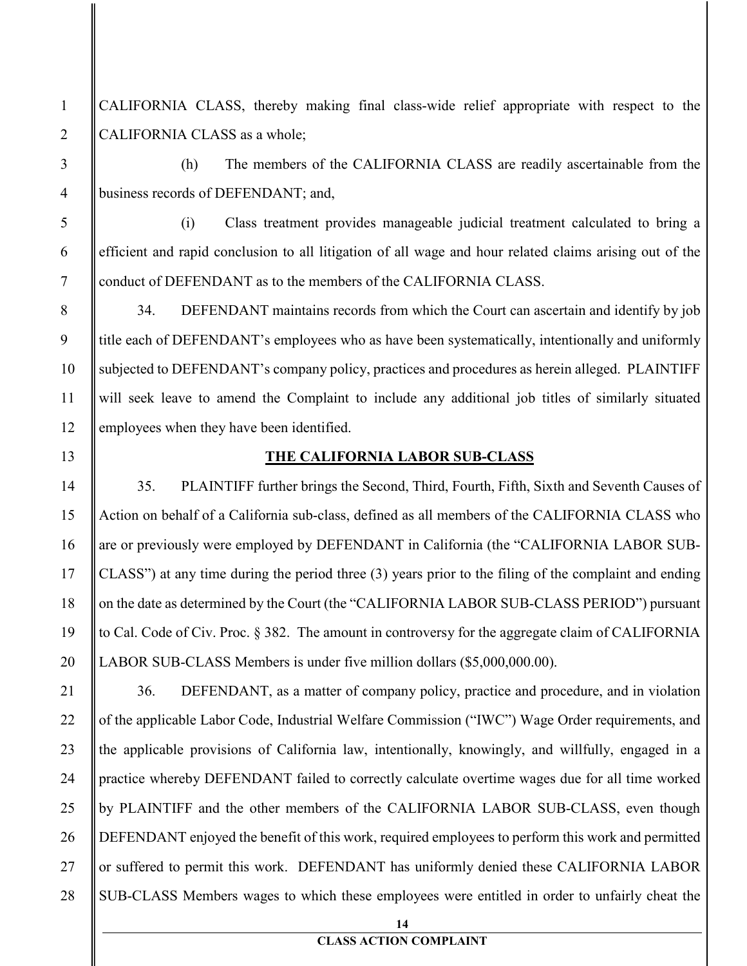CALIFORNIA CLASS, thereby making final class-wide relief appropriate with respect to the CALIFORNIA CLASS as a whole;

(h) The members of the CALIFORNIA CLASS are readily ascertainable from the business records of DEFENDANT; and,

(i) Class treatment provides manageable judicial treatment calculated to bring a efficient and rapid conclusion to all litigation of all wage and hour related claims arising out of the conduct of DEFENDANT as to the members of the CALIFORNIA CLASS.

34. DEFENDANT maintains records from which the Court can ascertain and identify by job title each of DEFENDANT's employees who as have been systematically, intentionally and uniformly subjected to DEFENDANT's company policy, practices and procedures as herein alleged. PLAINTIFF will seek leave to amend the Complaint to include any additional job titles of similarly situated employees when they have been identified.

13

1

2

3

4

5

6

7

8

9

10

11

12

### **THE CALIFORNIA LABOR SUB-CLASS**

14 15 16 17 18 19 20 35. PLAINTIFF further brings the Second, Third, Fourth, Fifth, Sixth and Seventh Causes of Action on behalf of a California sub-class, defined as all members of the CALIFORNIA CLASS who are or previously were employed by DEFENDANT in California (the "CALIFORNIA LABOR SUB-CLASS") at any time during the period three (3) years prior to the filing of the complaint and ending on the date as determined by the Court (the "CALIFORNIA LABOR SUB-CLASS PERIOD") pursuant to Cal. Code of Civ. Proc. § 382. The amount in controversy for the aggregate claim of CALIFORNIA LABOR SUB-CLASS Members is under five million dollars (\$5,000,000.00).

21 22 23 24 25 26 27 28 36. DEFENDANT, as a matter of company policy, practice and procedure, and in violation of the applicable Labor Code, Industrial Welfare Commission ("IWC") Wage Order requirements, and the applicable provisions of California law, intentionally, knowingly, and willfully, engaged in a practice whereby DEFENDANT failed to correctly calculate overtime wages due for all time worked by PLAINTIFF and the other members of the CALIFORNIA LABOR SUB-CLASS, even though DEFENDANT enjoyed the benefit of this work, required employees to perform this work and permitted or suffered to permit this work. DEFENDANT has uniformly denied these CALIFORNIA LABOR SUB-CLASS Members wages to which these employees were entitled in order to unfairly cheat the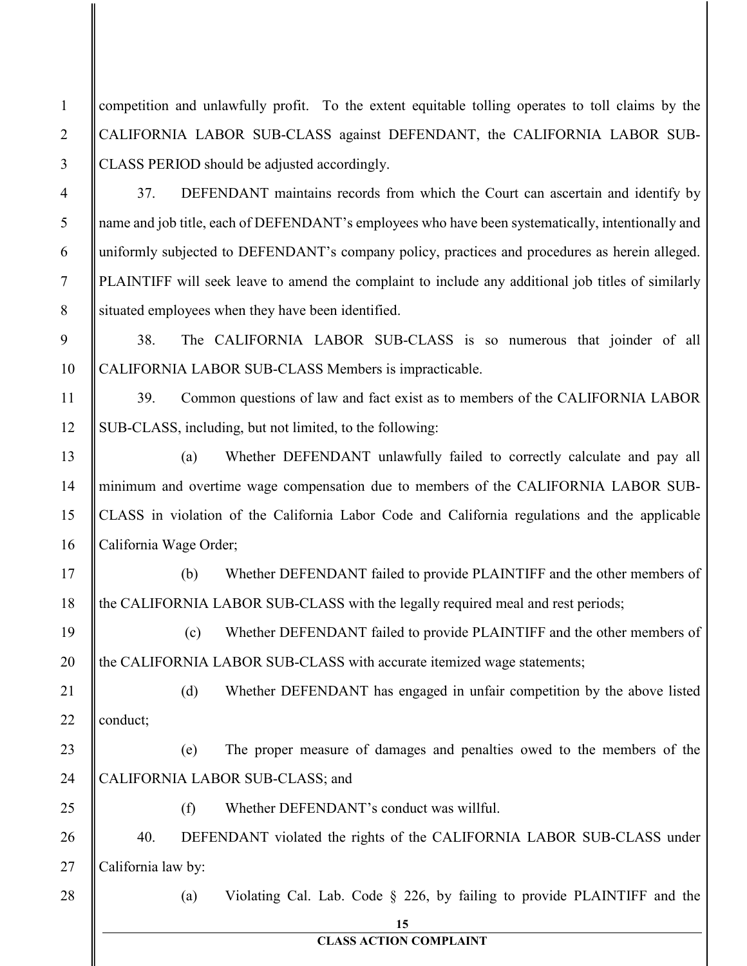1 2 3 competition and unlawfully profit. To the extent equitable tolling operates to toll claims by the CALIFORNIA LABOR SUB-CLASS against DEFENDANT, the CALIFORNIA LABOR SUB-CLASS PERIOD should be adjusted accordingly.

37. DEFENDANT maintains records from which the Court can ascertain and identify by name and job title, each of DEFENDANT's employees who have been systematically, intentionally and uniformly subjected to DEFENDANT's company policy, practices and procedures as herein alleged. PLAINTIFF will seek leave to amend the complaint to include any additional job titles of similarly situated employees when they have been identified.

9 10 38. The CALIFORNIA LABOR SUB-CLASS is so numerous that joinder of all CALIFORNIA LABOR SUB-CLASS Members is impracticable.

11 12 39. Common questions of law and fact exist as to members of the CALIFORNIA LABOR SUB-CLASS, including, but not limited, to the following:

13 14 15 16 (a) Whether DEFENDANT unlawfully failed to correctly calculate and pay all minimum and overtime wage compensation due to members of the CALIFORNIA LABOR SUB-CLASS in violation of the California Labor Code and California regulations and the applicable California Wage Order;

17 18 (b) Whether DEFENDANT failed to provide PLAINTIFF and the other members of the CALIFORNIA LABOR SUB-CLASS with the legally required meal and rest periods;

19 20 (c) Whether DEFENDANT failed to provide PLAINTIFF and the other members of the CALIFORNIA LABOR SUB-CLASS with accurate itemized wage statements;

21 22 (d) Whether DEFENDANT has engaged in unfair competition by the above listed conduct;

23 24 (e) The proper measure of damages and penalties owed to the members of the CALIFORNIA LABOR SUB-CLASS; and

25

4

5

6

7

8

(f) Whether DEFENDANT's conduct was willful.

26 27 40. DEFENDANT violated the rights of the CALIFORNIA LABOR SUB-CLASS under California law by:

28

(a) Violating Cal. Lab. Code § 226, by failing to provide PLAINTIFF and the

**15**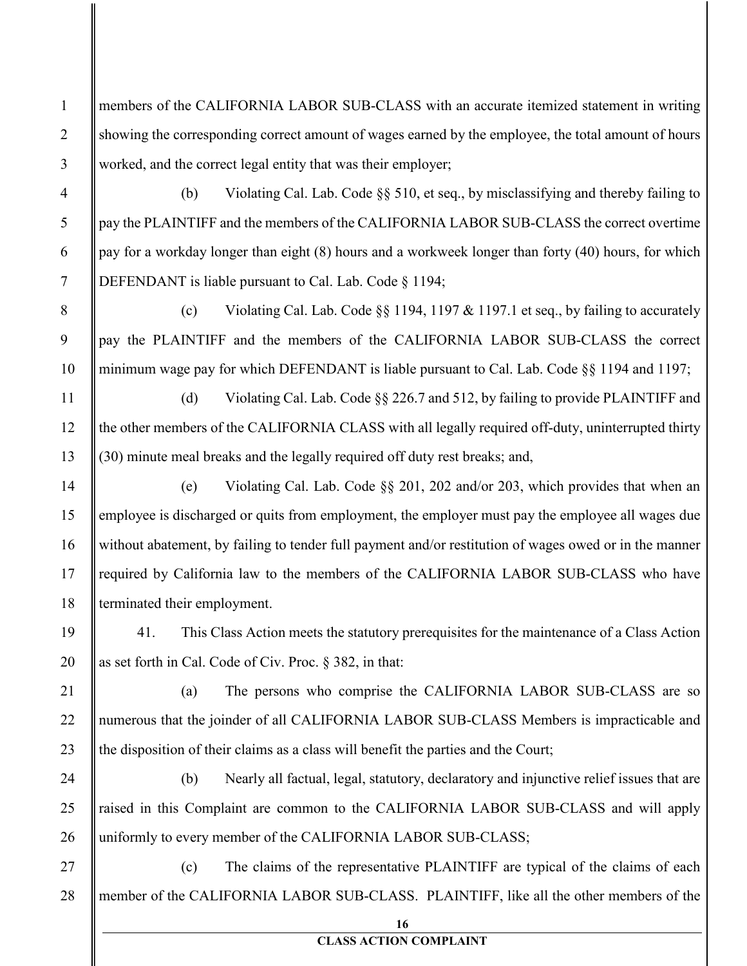1 2 3 members of the CALIFORNIA LABOR SUB-CLASS with an accurate itemized statement in writing showing the corresponding correct amount of wages earned by the employee, the total amount of hours worked, and the correct legal entity that was their employer;

4 5 6

7

8

9

(b) Violating Cal. Lab. Code §§ 510, et seq., by misclassifying and thereby failing to pay the PLAINTIFF and the members of the CALIFORNIA LABOR SUB-CLASS the correct overtime pay for a workday longer than eight (8) hours and a workweek longer than forty (40) hours, for which DEFENDANT is liable pursuant to Cal. Lab. Code § 1194;

10 (c) Violating Cal. Lab. Code §§ 1194, 1197 & 1197.1 et seq., by failing to accurately pay the PLAINTIFF and the members of the CALIFORNIA LABOR SUB-CLASS the correct minimum wage pay for which DEFENDANT is liable pursuant to Cal. Lab. Code §§ 1194 and 1197;

11 12 13 (d) Violating Cal. Lab. Code §§ 226.7 and 512, by failing to provide PLAINTIFF and the other members of the CALIFORNIA CLASS with all legally required off-duty, uninterrupted thirty (30) minute meal breaks and the legally required off duty rest breaks; and,

14 15 16 17 18 (e) Violating Cal. Lab. Code §§ 201, 202 and/or 203, which provides that when an employee is discharged or quits from employment, the employer must pay the employee all wages due without abatement, by failing to tender full payment and/or restitution of wages owed or in the manner required by California law to the members of the CALIFORNIA LABOR SUB-CLASS who have terminated their employment.

19 20 41. This Class Action meets the statutory prerequisites for the maintenance of a Class Action as set forth in Cal. Code of Civ. Proc. § 382, in that:

21 22 23 (a) The persons who comprise the CALIFORNIA LABOR SUB-CLASS are so numerous that the joinder of all CALIFORNIA LABOR SUB-CLASS Members is impracticable and the disposition of their claims as a class will benefit the parties and the Court;

24 25 26 (b) Nearly all factual, legal, statutory, declaratory and injunctive relief issues that are raised in this Complaint are common to the CALIFORNIA LABOR SUB-CLASS and will apply uniformly to every member of the CALIFORNIA LABOR SUB-CLASS;

27 28 (c) The claims of the representative PLAINTIFF are typical of the claims of each member of the CALIFORNIA LABOR SUB-CLASS. PLAINTIFF, like all the other members of the

**16**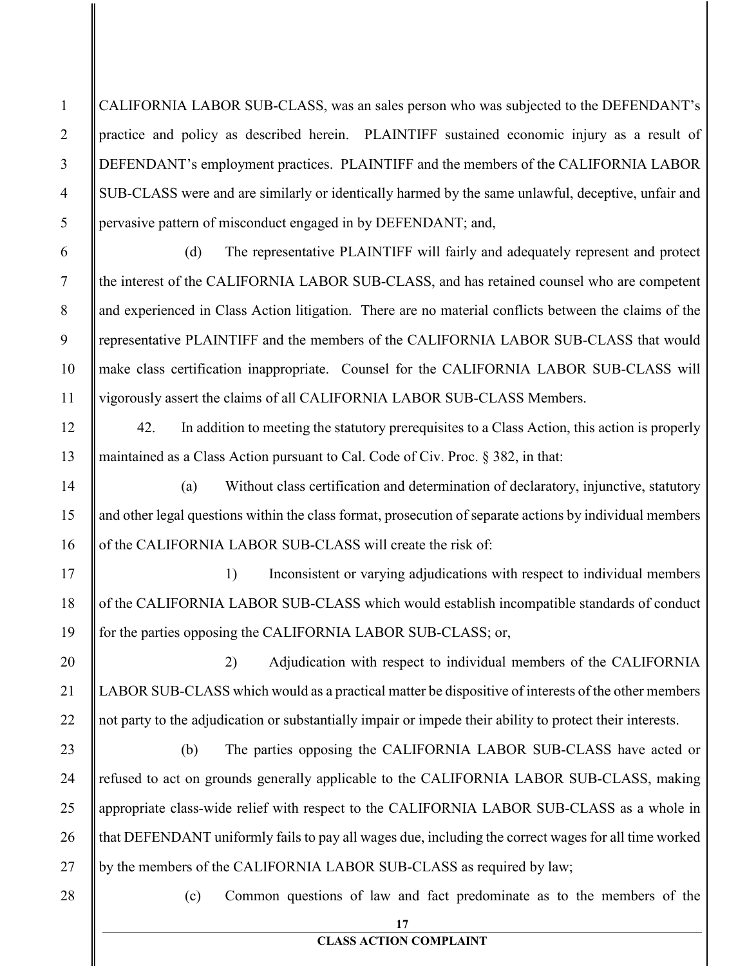1 2 3 4 5 CALIFORNIA LABOR SUB-CLASS, was an sales person who was subjected to the DEFENDANT's practice and policy as described herein. PLAINTIFF sustained economic injury as a result of DEFENDANT's employment practices. PLAINTIFF and the members of the CALIFORNIA LABOR SUB-CLASS were and are similarly or identically harmed by the same unlawful, deceptive, unfair and pervasive pattern of misconduct engaged in by DEFENDANT; and,

10

11

13

the interest of the CALIFORNIA LABOR SUB-CLASS, and has retained counsel who are competent and experienced in Class Action litigation. There are no material conflicts between the claims of the representative PLAINTIFF and the members of the CALIFORNIA LABOR SUB-CLASS that would make class certification inappropriate. Counsel for the CALIFORNIA LABOR SUB-CLASS will vigorously assert the claims of all CALIFORNIA LABOR SUB-CLASS Members.

(d) The representative PLAINTIFF will fairly and adequately represent and protect

12

42. In addition to meeting the statutory prerequisites to a Class Action, this action is properly maintained as a Class Action pursuant to Cal. Code of Civ. Proc. § 382, in that:

14 15 16 (a) Without class certification and determination of declaratory, injunctive, statutory and other legal questions within the class format, prosecution of separate actions by individual members of the CALIFORNIA LABOR SUB-CLASS will create the risk of:

17 18 19 1) Inconsistent or varying adjudications with respect to individual members of the CALIFORNIA LABOR SUB-CLASS which would establish incompatible standards of conduct for the parties opposing the CALIFORNIA LABOR SUB-CLASS; or,

20 21 22 2) Adjudication with respect to individual members of the CALIFORNIA LABOR SUB-CLASS which would as a practical matter be dispositive of interests of the other members not party to the adjudication or substantially impair or impede their ability to protect their interests.

23 24 25 26 27 (b) The parties opposing the CALIFORNIA LABOR SUB-CLASS have acted or refused to act on grounds generally applicable to the CALIFORNIA LABOR SUB-CLASS, making appropriate class-wide relief with respect to the CALIFORNIA LABOR SUB-CLASS as a whole in that DEFENDANT uniformly fails to pay all wages due, including the correct wages for all time worked by the members of the CALIFORNIA LABOR SUB-CLASS as required by law;

28

(c) Common questions of law and fact predominate as to the members of the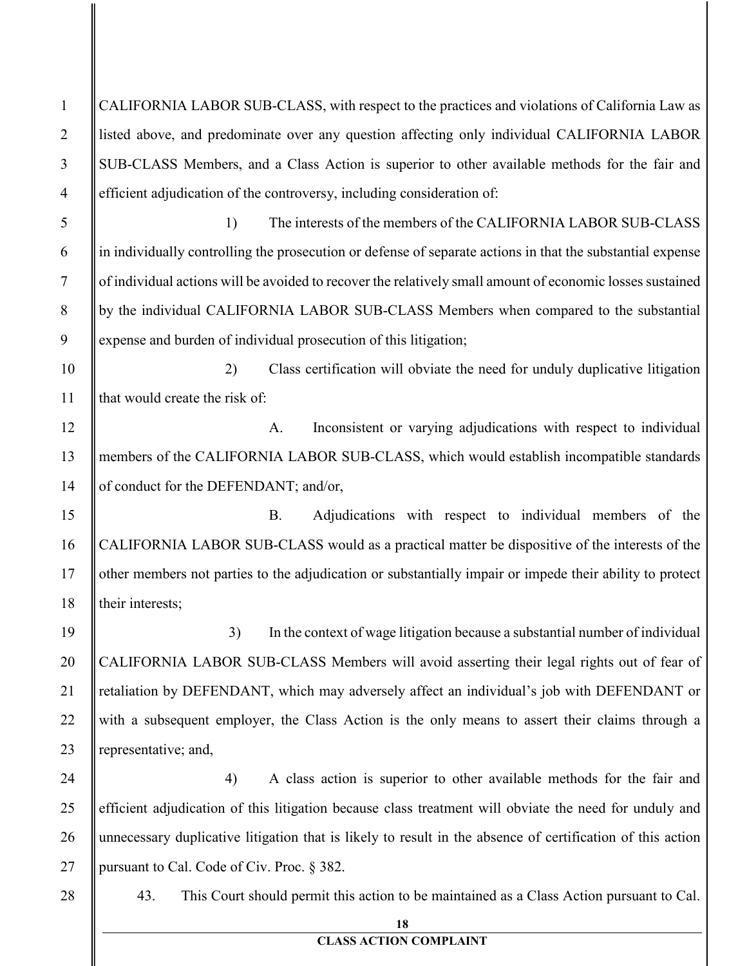1 2 3 4 CALIFORNIA LABOR SUB-CLASS, with respect to the practices and violations of California Law as listed above, and predominate over any question affecting only individual CALIFORNIA LABOR SUB-CLASS Members, and a Class Action is superior to other available methods for the fair and efficient adjudication of the controversy, including consideration of:

5 6 7 8 9 1) The interests of the members of the CALIFORNIA LABOR SUB-CLASS in individually controlling the prosecution or defense of separate actions in that the substantial expense of individual actions will be avoided to recover the relatively small amount of economic losses sustained by the individual CALIFORNIA LABOR SUB-CLASS Members when compared to the substantial expense and burden of individual prosecution of this litigation;

10 11 2) Class certification will obviate the need for unduly duplicative litigation that would create the risk of:

12 13 14 A. Inconsistent or varying adjudications with respect to individual members of the CALIFORNIA LABOR SUB-CLASS, which would establish incompatible standards of conduct for the DEFENDANT; and/or,

15 16 17 18 B. Adjudications with respect to individual members of the CALIFORNIA LABOR SUB-CLASS would as a practical matter be dispositive of the interests of the other members not parties to the adjudication or substantially impair or impede their ability to protect their interests;

19 20 21 22 23 3) In the context of wage litigation because a substantial number of individual CALIFORNIA LABOR SUB-CLASS Members will avoid asserting their legal rights out of fear of retaliation by DEFENDANT, which may adversely affect an individual's job with DEFENDANT or with a subsequent employer, the Class Action is the only means to assert their claims through a representative; and,

24 25 26 27 4) A class action is superior to other available methods for the fair and efficient adjudication of this litigation because class treatment will obviate the need for unduly and unnecessary duplicative litigation that is likely to result in the absence of certification of this action pursuant to Cal. Code of Civ. Proc. § 382.

28

43. This Court should permit this action to be maintained as a Class Action pursuant to Cal.

**18**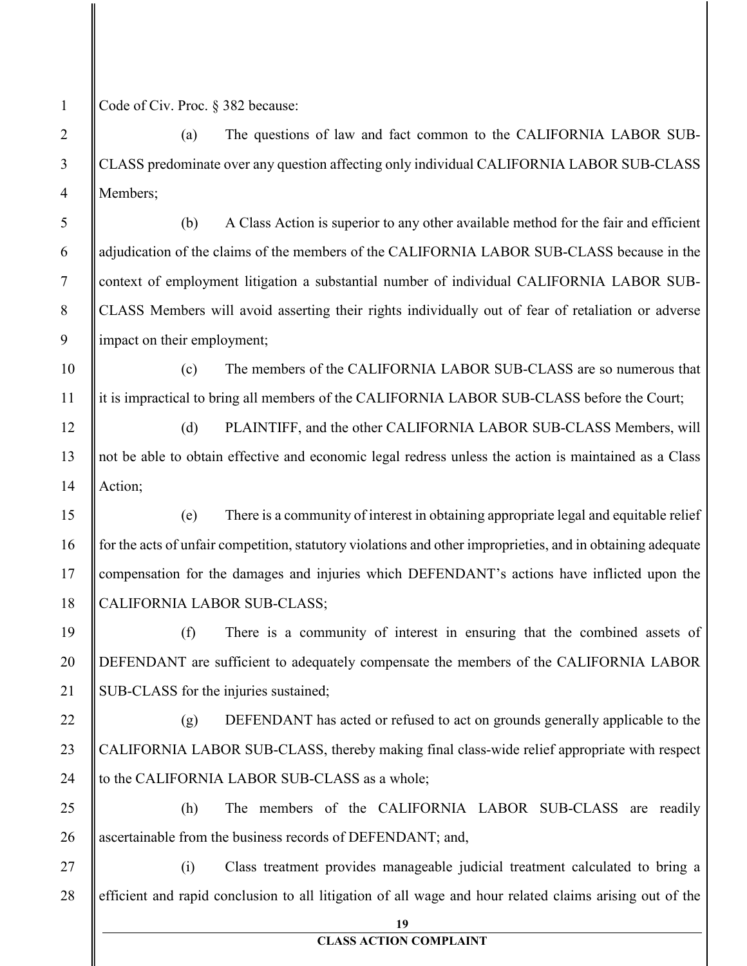2

3

4

5

6

7

8

9

12

13

Code of Civ. Proc. § 382 because:

(a) The questions of law and fact common to the CALIFORNIA LABOR SUB-CLASS predominate over any question affecting only individual CALIFORNIA LABOR SUB-CLASS Members;

(b) A Class Action is superior to any other available method for the fair and efficient adjudication of the claims of the members of the CALIFORNIA LABOR SUB-CLASS because in the context of employment litigation a substantial number of individual CALIFORNIA LABOR SUB-CLASS Members will avoid asserting their rights individually out of fear of retaliation or adverse impact on their employment;

10 11 (c) The members of the CALIFORNIA LABOR SUB-CLASS are so numerous that it is impractical to bring all members of the CALIFORNIA LABOR SUB-CLASS before the Court;

14 (d) PLAINTIFF, and the other CALIFORNIA LABOR SUB-CLASS Members, will not be able to obtain effective and economic legal redress unless the action is maintained as a Class Action;

15 16 17 18 (e) There is a community of interest in obtaining appropriate legal and equitable relief for the acts of unfair competition, statutory violations and other improprieties, and in obtaining adequate compensation for the damages and injuries which DEFENDANT's actions have inflicted upon the CALIFORNIA LABOR SUB-CLASS;

19 20 21 (f) There is a community of interest in ensuring that the combined assets of DEFENDANT are sufficient to adequately compensate the members of the CALIFORNIA LABOR SUB-CLASS for the injuries sustained;

22 23 24 (g) DEFENDANT has acted or refused to act on grounds generally applicable to the CALIFORNIA LABOR SUB-CLASS, thereby making final class-wide relief appropriate with respect to the CALIFORNIA LABOR SUB-CLASS as a whole;

25 26 (h) The members of the CALIFORNIA LABOR SUB-CLASS are readily ascertainable from the business records of DEFENDANT; and,

27 28 (i) Class treatment provides manageable judicial treatment calculated to bring a efficient and rapid conclusion to all litigation of all wage and hour related claims arising out of the

**19**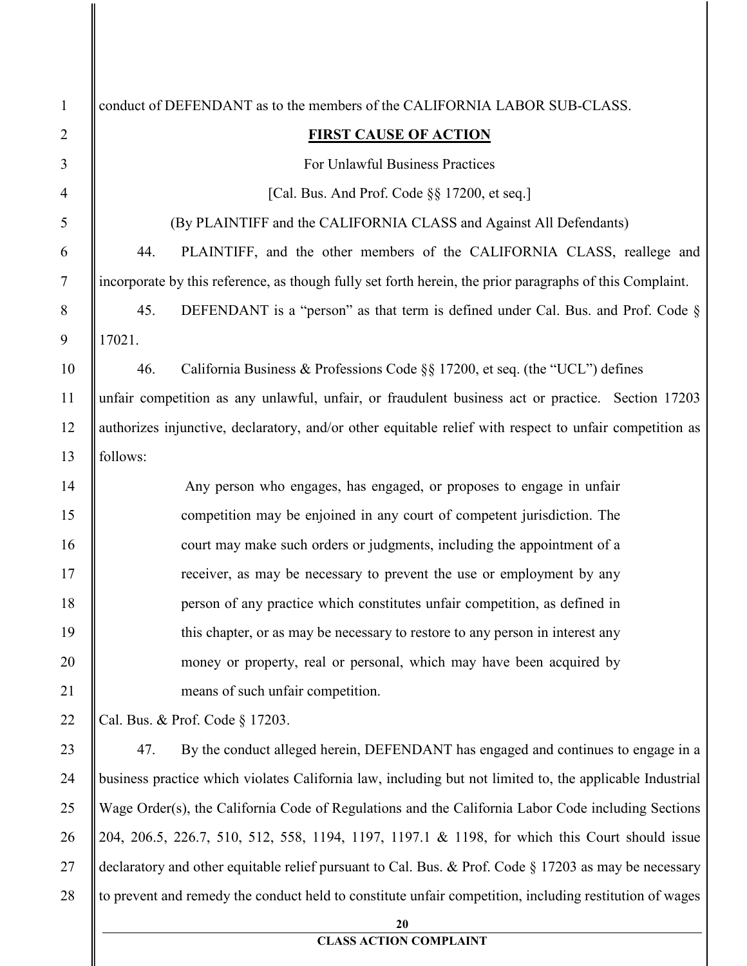| $\mathbf{1}$   | conduct of DEFENDANT as to the members of the CALIFORNIA LABOR SUB-CLASS.                                |
|----------------|----------------------------------------------------------------------------------------------------------|
| $\overline{2}$ | <b>FIRST CAUSE OF ACTION</b>                                                                             |
| 3              | For Unlawful Business Practices                                                                          |
| $\overline{4}$ | [Cal. Bus. And Prof. Code §§ 17200, et seq.]                                                             |
| 5              | (By PLAINTIFF and the CALIFORNIA CLASS and Against All Defendants)                                       |
| 6              | PLAINTIFF, and the other members of the CALIFORNIA CLASS, reallege and<br>44.                            |
| $\tau$         | incorporate by this reference, as though fully set forth herein, the prior paragraphs of this Complaint. |
| 8              | DEFENDANT is a "person" as that term is defined under Cal. Bus. and Prof. Code $\S$<br>45.               |
| 9              | 17021.                                                                                                   |
| 10             | California Business & Professions Code §§ 17200, et seq. (the "UCL") defines<br>46.                      |
| 11             | unfair competition as any unlawful, unfair, or fraudulent business act or practice. Section 17203        |
| 12             | authorizes injunctive, declaratory, and/or other equitable relief with respect to unfair competition as  |
| 13             | follows:                                                                                                 |
| 14             | Any person who engages, has engaged, or proposes to engage in unfair                                     |
| 15             | competition may be enjoined in any court of competent jurisdiction. The                                  |
| 16             | court may make such orders or judgments, including the appointment of a                                  |
| 17             | receiver, as may be necessary to prevent the use or employment by any                                    |
| 18             | person of any practice which constitutes unfair competition, as defined in                               |
| 19             | this chapter, or as may be necessary to restore to any person in interest any                            |
| 20             | money or property, real or personal, which may have been acquired by                                     |
| 21             | means of such unfair competition.                                                                        |
| 22             | Cal. Bus. & Prof. Code § 17203.                                                                          |
| 23             | By the conduct alleged herein, DEFENDANT has engaged and continues to engage in a<br>47.                 |
| 24             | business practice which violates California law, including but not limited to, the applicable Industrial |
| 25             | Wage Order(s), the California Code of Regulations and the California Labor Code including Sections       |
| 26             | 204, 206.5, 226.7, 510, 512, 558, 1194, 1197, 1197.1 & 1198, for which this Court should issue           |
| 27             | declaratory and other equitable relief pursuant to Cal. Bus. & Prof. Code $\S 17203$ as may be necessary |
| 28             | to prevent and remedy the conduct held to constitute unfair competition, including restitution of wages  |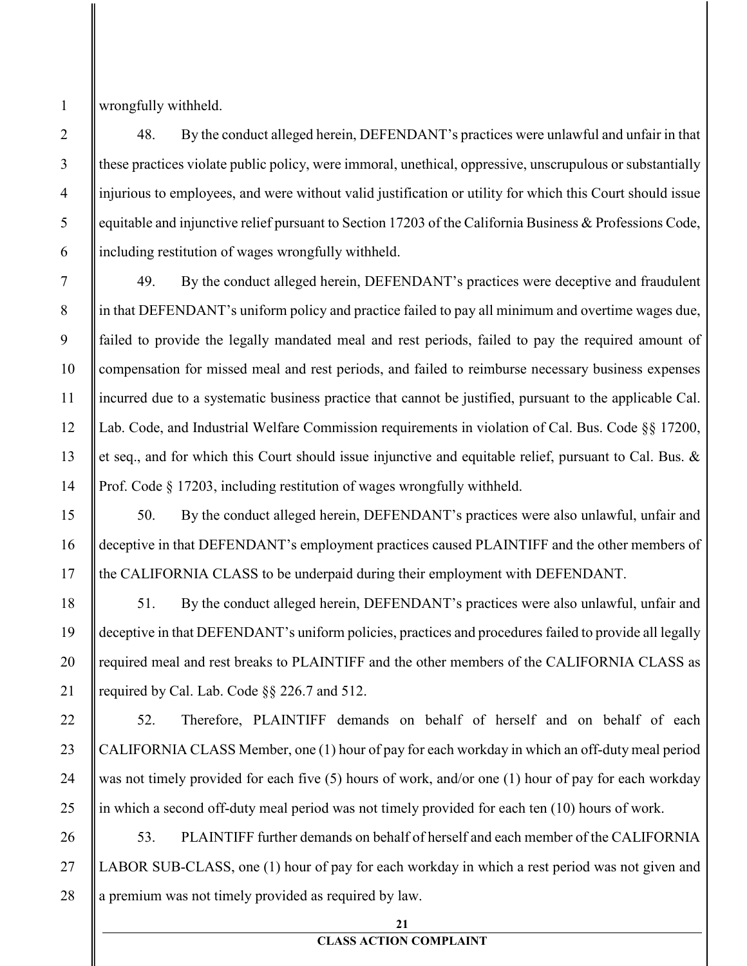2

3

4

5

6

7

8

9

wrongfully withheld.

48. By the conduct alleged herein, DEFENDANT's practices were unlawful and unfair in that these practices violate public policy, were immoral, unethical, oppressive, unscrupulous or substantially injurious to employees, and were without valid justification or utility for which this Court should issue equitable and injunctive relief pursuant to Section 17203 of the California Business & Professions Code, including restitution of wages wrongfully withheld.

10 11 12 13 14 49. By the conduct alleged herein, DEFENDANT's practices were deceptive and fraudulent in that DEFENDANT's uniform policy and practice failed to pay all minimum and overtime wages due, failed to provide the legally mandated meal and rest periods, failed to pay the required amount of compensation for missed meal and rest periods, and failed to reimburse necessary business expenses incurred due to a systematic business practice that cannot be justified, pursuant to the applicable Cal. Lab. Code, and Industrial Welfare Commission requirements in violation of Cal. Bus. Code §§ 17200, et seq., and for which this Court should issue injunctive and equitable relief, pursuant to Cal. Bus.  $\&$ Prof. Code § 17203, including restitution of wages wrongfully withheld.

15 16 17 50. By the conduct alleged herein, DEFENDANT's practices were also unlawful, unfair and deceptive in that DEFENDANT's employment practices caused PLAINTIFF and the other members of the CALIFORNIA CLASS to be underpaid during their employment with DEFENDANT.

18 19 20 21 51. By the conduct alleged herein, DEFENDANT's practices were also unlawful, unfair and deceptive in that DEFENDANT's uniform policies, practices and procedures failed to provide all legally required meal and rest breaks to PLAINTIFF and the other members of the CALIFORNIA CLASS as required by Cal. Lab. Code §§ 226.7 and 512.

22 23 24 25 52. Therefore, PLAINTIFF demands on behalf of herself and on behalf of each CALIFORNIA CLASS Member, one (1) hour of pay for each workday in which an off-duty meal period was not timely provided for each five (5) hours of work, and/or one (1) hour of pay for each workday in which a second off-duty meal period was not timely provided for each ten (10) hours of work.

26 27 28 53. PLAINTIFF further demands on behalf of herself and each member of the CALIFORNIA LABOR SUB-CLASS, one (1) hour of pay for each workday in which a rest period was not given and a premium was not timely provided as required by law.

**21**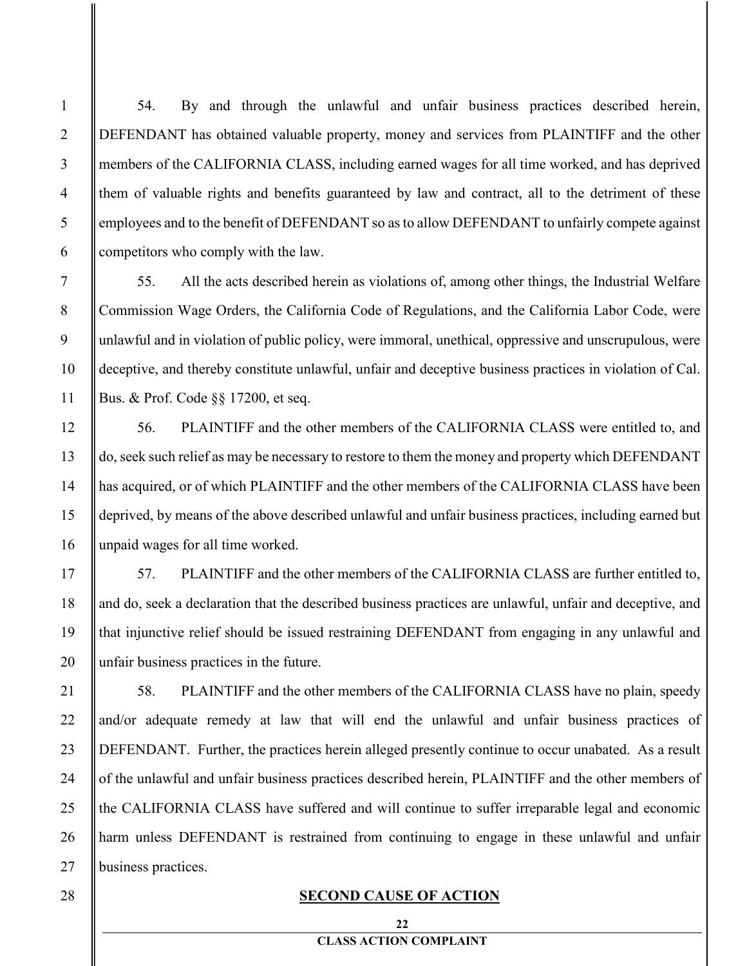54. By and through the unlawful and unfair business practices described herein, DEFENDANT has obtained valuable property, money and services from PLAINTIFF and the other members of the CALIFORNIA CLASS, including earned wages for all time worked, and has deprived them of valuable rights and benefits guaranteed by law and contract, all to the detriment of these employees and to the benefit of DEFENDANT so as to allow DEFENDANT to unfairly compete against competitors who comply with the law.

1

2

3

4

5

6

7

8

9

12

13

14

15

16

28

10 11 55. All the acts described herein as violations of, among other things, the Industrial Welfare Commission Wage Orders, the California Code of Regulations, and the California Labor Code, were unlawful and in violation of public policy, were immoral, unethical, oppressive and unscrupulous, were deceptive, and thereby constitute unlawful, unfair and deceptive business practices in violation of Cal. Bus. & Prof. Code §§ 17200, et seq.

56. PLAINTIFF and the other members of the CALIFORNIA CLASS were entitled to, and do, seek such relief as may be necessary to restore to them the money and property which DEFENDANT has acquired, or of which PLAINTIFF and the other members of the CALIFORNIA CLASS have been deprived, by means of the above described unlawful and unfair business practices, including earned but unpaid wages for all time worked.

17 18 19 20 57. PLAINTIFF and the other members of the CALIFORNIA CLASS are further entitled to, and do, seek a declaration that the described business practices are unlawful, unfair and deceptive, and that injunctive relief should be issued restraining DEFENDANT from engaging in any unlawful and unfair business practices in the future.

21 22 23 24 25 26 27 58. PLAINTIFF and the other members of the CALIFORNIA CLASS have no plain, speedy and/or adequate remedy at law that will end the unlawful and unfair business practices of DEFENDANT. Further, the practices herein alleged presently continue to occur unabated. As a result of the unlawful and unfair business practices described herein, PLAINTIFF and the other members of the CALIFORNIA CLASS have suffered and will continue to suffer irreparable legal and economic harm unless DEFENDANT is restrained from continuing to engage in these unlawful and unfair business practices.

### **SECOND CAUSE OF ACTION**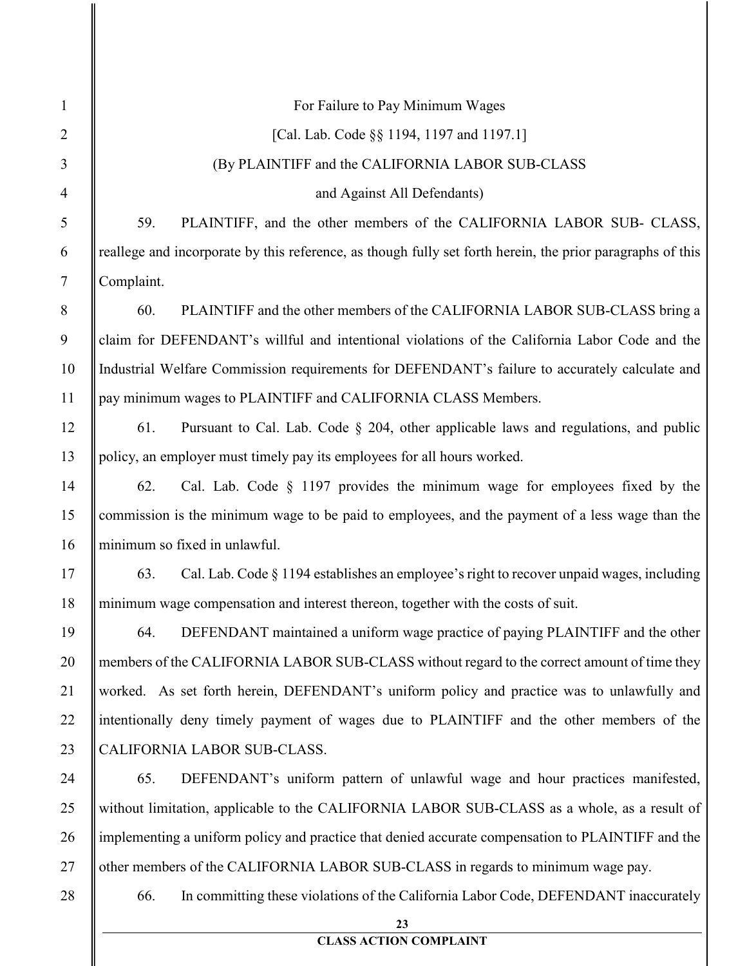| $\mathbf{1}$   | For Failure to Pay Minimum Wages                                                                           |
|----------------|------------------------------------------------------------------------------------------------------------|
| $\overline{2}$ | [Cal. Lab. Code §§ 1194, 1197 and 1197.1]                                                                  |
| 3              | (By PLAINTIFF and the CALIFORNIA LABOR SUB-CLASS                                                           |
| $\overline{4}$ | and Against All Defendants)                                                                                |
| 5              | 59.<br>PLAINTIFF, and the other members of the CALIFORNIA LABOR SUB- CLASS,                                |
| 6              | reallege and incorporate by this reference, as though fully set forth herein, the prior paragraphs of this |
| 7              | Complaint.                                                                                                 |
| 8              | 60.<br>PLAINTIFF and the other members of the CALIFORNIA LABOR SUB-CLASS bring a                           |
| 9              | claim for DEFENDANT's willful and intentional violations of the California Labor Code and the              |
| 10             | Industrial Welfare Commission requirements for DEFENDANT's failure to accurately calculate and             |
| 11             | pay minimum wages to PLAINTIFF and CALIFORNIA CLASS Members.                                               |
| 12             | Pursuant to Cal. Lab. Code § 204, other applicable laws and regulations, and public<br>61.                 |
| 13             | policy, an employer must timely pay its employees for all hours worked.                                    |
| 14             | Cal. Lab. Code § 1197 provides the minimum wage for employees fixed by the<br>62.                          |
| 15             | commission is the minimum wage to be paid to employees, and the payment of a less wage than the            |
| 16             | minimum so fixed in unlawful.                                                                              |
| 17             | 63.<br>Cal. Lab. Code § 1194 establishes an employee's right to recover unpaid wages, including            |
| 18             | minimum wage compensation and interest thereon, together with the costs of suit.                           |
| 19             | DEFENDANT maintained a uniform wage practice of paying PLAINTIFF and the other<br>64.                      |
| 20             | members of the CALIFORNIA LABOR SUB-CLASS without regard to the correct amount of time they                |
| 21             | worked. As set forth herein, DEFENDANT's uniform policy and practice was to unlawfully and                 |
| 22             | intentionally deny timely payment of wages due to PLAINTIFF and the other members of the                   |
| 23             | CALIFORNIA LABOR SUB-CLASS.                                                                                |
| 24             | 65.<br>DEFENDANT's uniform pattern of unlawful wage and hour practices manifested,                         |
| 25             | without limitation, applicable to the CALIFORNIA LABOR SUB-CLASS as a whole, as a result of                |
| 26             | implementing a uniform policy and practice that denied accurate compensation to PLAINTIFF and the          |
| 27             | other members of the CALIFORNIA LABOR SUB-CLASS in regards to minimum wage pay.                            |
| 28             | In committing these violations of the California Labor Code, DEFENDANT inaccurately<br>66.                 |
|                | 23                                                                                                         |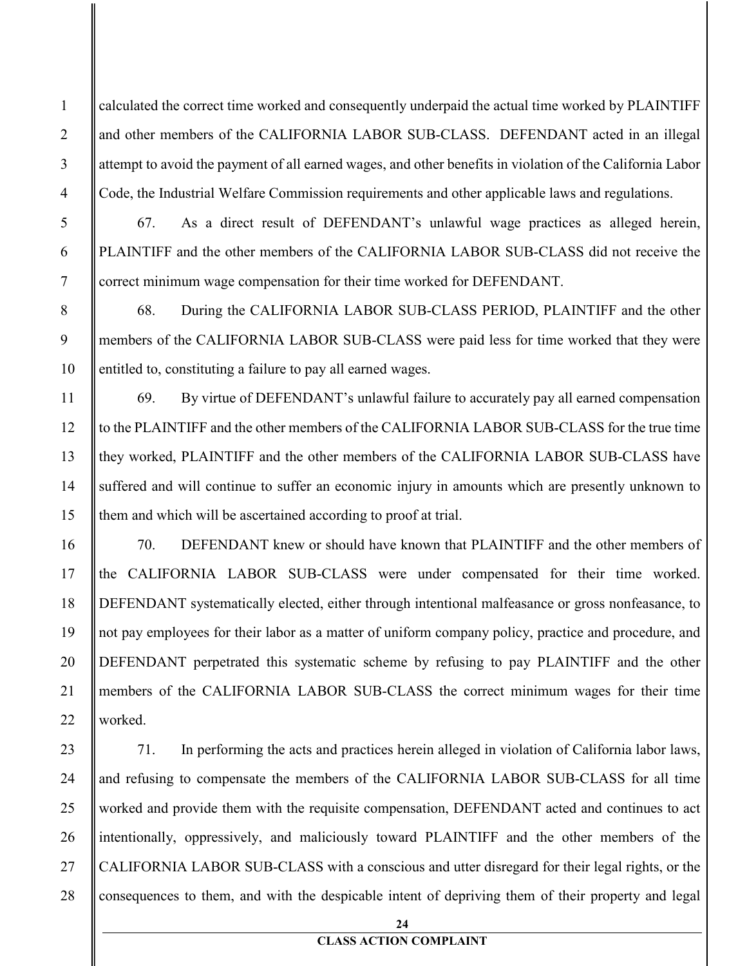calculated the correct time worked and consequently underpaid the actual time worked by PLAINTIFF and other members of the CALIFORNIA LABOR SUB-CLASS. DEFENDANT acted in an illegal attempt to avoid the payment of all earned wages, and other benefits in violation of the California Labor Code, the Industrial Welfare Commission requirements and other applicable laws and regulations.

1

2

3

4

5

6

7

8

9

67. As a direct result of DEFENDANT's unlawful wage practices as alleged herein, PLAINTIFF and the other members of the CALIFORNIA LABOR SUB-CLASS did not receive the correct minimum wage compensation for their time worked for DEFENDANT.

10 68. During the CALIFORNIA LABOR SUB-CLASS PERIOD, PLAINTIFF and the other members of the CALIFORNIA LABOR SUB-CLASS were paid less for time worked that they were entitled to, constituting a failure to pay all earned wages.

11 12 13 14 15 69. By virtue of DEFENDANT's unlawful failure to accurately pay all earned compensation to the PLAINTIFF and the other members of the CALIFORNIA LABOR SUB-CLASS for the true time they worked, PLAINTIFF and the other members of the CALIFORNIA LABOR SUB-CLASS have suffered and will continue to suffer an economic injury in amounts which are presently unknown to them and which will be ascertained according to proof at trial.

16 17 18 19 20 21 22 70. DEFENDANT knew or should have known that PLAINTIFF and the other members of the CALIFORNIA LABOR SUB-CLASS were under compensated for their time worked. DEFENDANT systematically elected, either through intentional malfeasance or gross nonfeasance, to not pay employees for their labor as a matter of uniform company policy, practice and procedure, and DEFENDANT perpetrated this systematic scheme by refusing to pay PLAINTIFF and the other members of the CALIFORNIA LABOR SUB-CLASS the correct minimum wages for their time worked.

23 24 25 26 27 28 71. In performing the acts and practices herein alleged in violation of California labor laws, and refusing to compensate the members of the CALIFORNIA LABOR SUB-CLASS for all time worked and provide them with the requisite compensation, DEFENDANT acted and continues to act intentionally, oppressively, and maliciously toward PLAINTIFF and the other members of the CALIFORNIA LABOR SUB-CLASS with a conscious and utter disregard for their legal rights, or the consequences to them, and with the despicable intent of depriving them of their property and legal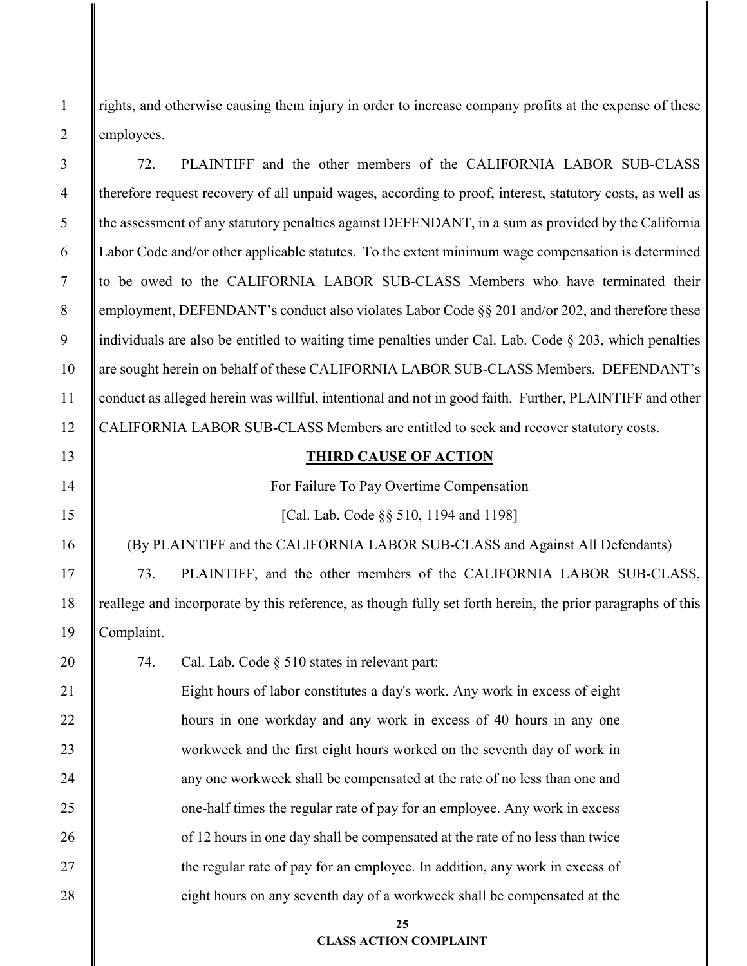rights, and otherwise causing them injury in order to increase company profits at the expense of these 2 employees. I

| $\overline{3}$ | 72.        | PLAINTIFF and the other members of the CALIFORNIA LABOR SUB-CLASS                                          |
|----------------|------------|------------------------------------------------------------------------------------------------------------|
| 4              |            | therefore request recovery of all unpaid wages, according to proof, interest, statutory costs, as well as  |
| 5              |            | the assessment of any statutory penalties against DEFENDANT, in a sum as provided by the California        |
| 6              |            | Labor Code and/or other applicable statutes. To the extent minimum wage compensation is determined         |
| $\overline{7}$ |            | to be owed to the CALIFORNIA LABOR SUB-CLASS Members who have terminated their                             |
| 8              |            | employment, DEFENDANT's conduct also violates Labor Code §§ 201 and/or 202, and therefore these            |
| 9              |            | individuals are also be entitled to waiting time penalties under Cal. Lab. Code $\S 203$ , which penalties |
| 10             |            | are sought herein on behalf of these CALIFORNIA LABOR SUB-CLASS Members. DEFENDANT's                       |
| 11             |            | conduct as alleged herein was willful, intentional and not in good faith. Further, PLAINTIFF and other     |
| 12             |            | CALIFORNIA LABOR SUB-CLASS Members are entitled to seek and recover statutory costs.                       |
| 13             |            | <b>THIRD CAUSE OF ACTION</b>                                                                               |
| 14             |            | For Failure To Pay Overtime Compensation                                                                   |
| 15             |            | [Cal. Lab. Code §§ 510, 1194 and 1198]                                                                     |
| 16             |            | (By PLAINTIFF and the CALIFORNIA LABOR SUB-CLASS and Against All Defendants)                               |
| 17             | 73.        | PLAINTIFF, and the other members of the CALIFORNIA LABOR SUB-CLASS,                                        |
| 18             |            | reallege and incorporate by this reference, as though fully set forth herein, the prior paragraphs of this |
| 19             | Complaint. |                                                                                                            |
| 20             | 74.        | Cal. Lab. Code § 510 states in relevant part:                                                              |
| 21             |            | Eight hours of labor constitutes a day's work. Any work in excess of eight                                 |
| 22             |            | hours in one workday and any work in excess of 40 hours in any one                                         |
| 23             |            | workweek and the first eight hours worked on the seventh day of work in                                    |
| 24             |            | any one workweek shall be compensated at the rate of no less than one and                                  |
| 25             |            | one-half times the regular rate of pay for an employee. Any work in excess                                 |
| 26             |            | of 12 hours in one day shall be compensated at the rate of no less than twice                              |
| 27             |            | the regular rate of pay for an employee. In addition, any work in excess of                                |
| 28             |            | eight hours on any seventh day of a workweek shall be compensated at the                                   |
|                |            | 25<br><b>CLASS ACTION COMPLAINT</b>                                                                        |
|                |            |                                                                                                            |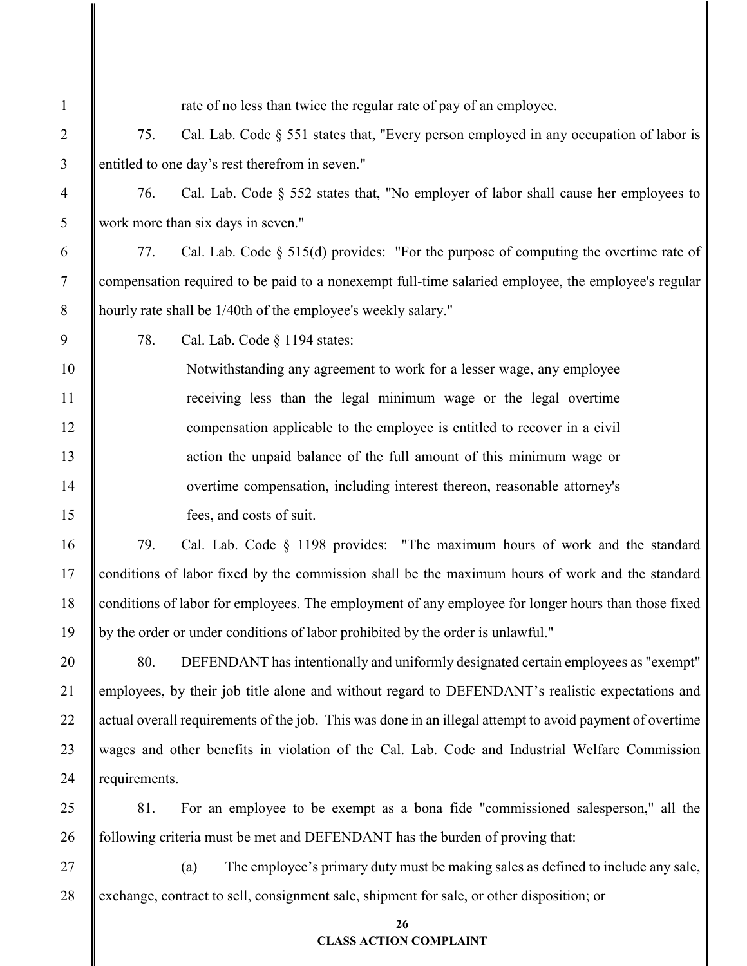1 2 3 4 5 6 7 8 9 10 11 12 13 14 15 16 17 18 19 20 21 22 23 24 25 26 27 28 rate of no less than twice the regular rate of pay of an employee. 75. Cal. Lab. Code § 551 states that, "Every person employed in any occupation of labor is entitled to one day's rest therefrom in seven." 76. Cal. Lab. Code § 552 states that, "No employer of labor shall cause her employees to work more than six days in seven." 77. Cal. Lab. Code § 515(d) provides: "For the purpose of computing the overtime rate of compensation required to be paid to a nonexempt full-time salaried employee, the employee's regular hourly rate shall be 1/40th of the employee's weekly salary." 78. Cal. Lab. Code § 1194 states: Notwithstanding any agreement to work for a lesser wage, any employee receiving less than the legal minimum wage or the legal overtime compensation applicable to the employee is entitled to recover in a civil action the unpaid balance of the full amount of this minimum wage or overtime compensation, including interest thereon, reasonable attorney's fees, and costs of suit. 79. Cal. Lab. Code § 1198 provides: "The maximum hours of work and the standard conditions of labor fixed by the commission shall be the maximum hours of work and the standard conditions of labor for employees. The employment of any employee for longer hours than those fixed by the order or under conditions of labor prohibited by the order is unlawful." 80. DEFENDANT has intentionally and uniformly designated certain employees as "exempt" employees, by their job title alone and without regard to DEFENDANT's realistic expectations and actual overall requirements of the job. This was done in an illegal attempt to avoid payment of overtime wages and other benefits in violation of the Cal. Lab. Code and Industrial Welfare Commission requirements. 81. For an employee to be exempt as a bona fide "commissioned salesperson," all the following criteria must be met and DEFENDANT has the burden of proving that: (a) The employee's primary duty must be making sales as defined to include any sale, exchange, contract to sell, consignment sale, shipment for sale, or other disposition; or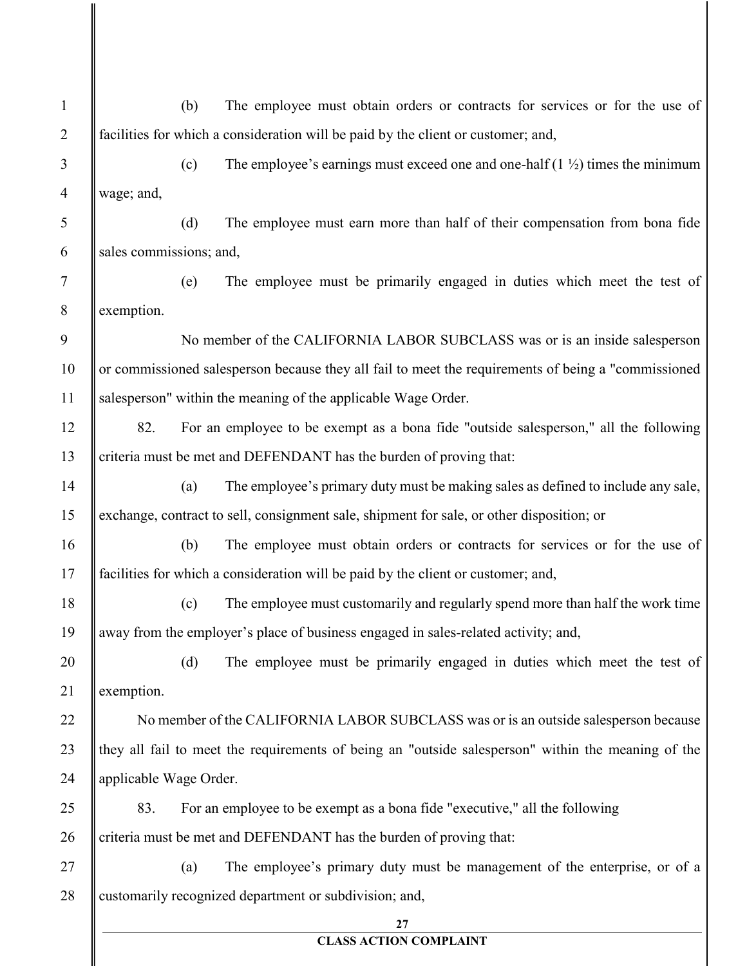| $\mathbf{1}$   | The employee must obtain orders or contracts for services or for the use of<br>(b)                  |
|----------------|-----------------------------------------------------------------------------------------------------|
| 2              | facilities for which a consideration will be paid by the client or customer; and,                   |
| 3              | (c)<br>The employee's earnings must exceed one and one-half $(1 \frac{1}{2})$ times the minimum     |
| $\overline{4}$ | wage; and,                                                                                          |
| 5              | (d)<br>The employee must earn more than half of their compensation from bona fide                   |
| 6              | sales commissions; and,                                                                             |
| $\overline{7}$ | The employee must be primarily engaged in duties which meet the test of<br>(e)                      |
| 8              | exemption.                                                                                          |
| 9              | No member of the CALIFORNIA LABOR SUBCLASS was or is an inside salesperson                          |
| 10             | or commissioned salesperson because they all fail to meet the requirements of being a "commissioned |
| 11             | salesperson" within the meaning of the applicable Wage Order.                                       |
| 12             | 82.<br>For an employee to be exempt as a bona fide "outside salesperson," all the following         |
| 13             | criteria must be met and DEFENDANT has the burden of proving that:                                  |
| 14             | The employee's primary duty must be making sales as defined to include any sale,<br>(a)             |
| 15             | exchange, contract to sell, consignment sale, shipment for sale, or other disposition; or           |
| 16             | (b)<br>The employee must obtain orders or contracts for services or for the use of                  |
| 17             | facilities for which a consideration will be paid by the client or customer; and,                   |
| 18             | The employee must customarily and regularly spend more than half the work time<br>(c)               |
| 19             | away from the employer's place of business engaged in sales-related activity; and,                  |
| 20             | The employee must be primarily engaged in duties which meet the test of<br>(d)                      |
| 21             | exemption.                                                                                          |
| 22             | No member of the CALIFORNIA LABOR SUBCLASS was or is an outside salesperson because                 |
| 23             | they all fail to meet the requirements of being an "outside salesperson" within the meaning of the  |
| 24             | applicable Wage Order.                                                                              |
| 25             | For an employee to be exempt as a bona fide "executive," all the following<br>83.                   |
| 26             | criteria must be met and DEFENDANT has the burden of proving that:                                  |
| 27             | The employee's primary duty must be management of the enterprise, or of a<br>(a)                    |
| 28             | customarily recognized department or subdivision; and,                                              |
|                | 27<br><b>CLASS ACTION COMPLAINT</b>                                                                 |
|                |                                                                                                     |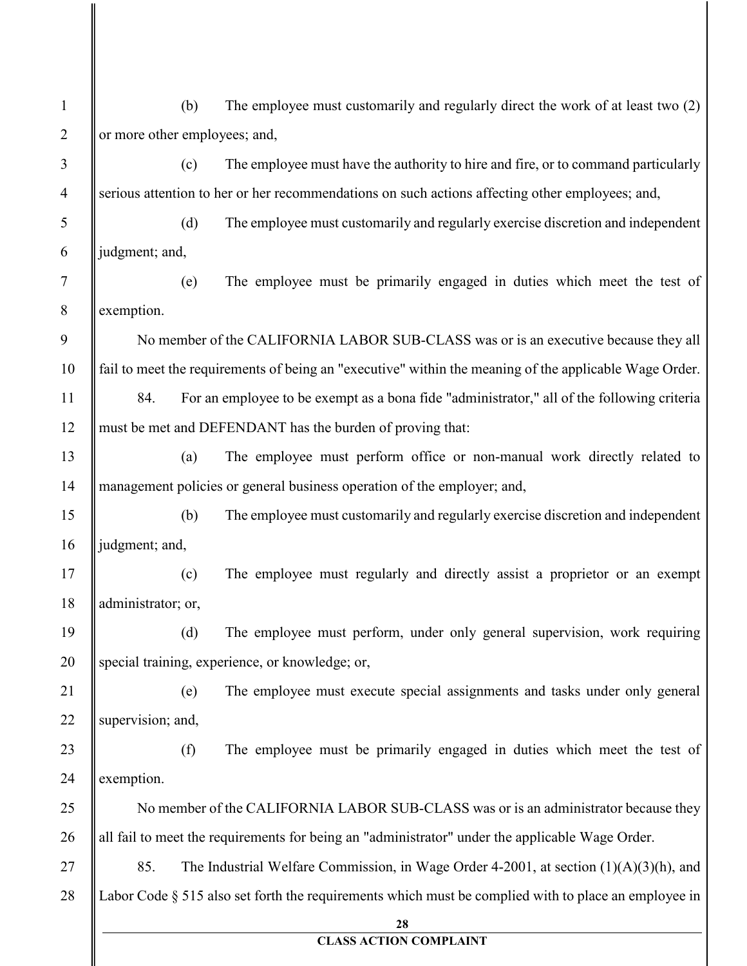| $\mathbf{1}$   | The employee must customarily and regularly direct the work of at least two (2)<br>(b)                  |  |
|----------------|---------------------------------------------------------------------------------------------------------|--|
| $\overline{2}$ | or more other employees; and,                                                                           |  |
| 3              | (c)<br>The employee must have the authority to hire and fire, or to command particularly                |  |
| 4              | serious attention to her or her recommendations on such actions affecting other employees; and,         |  |
| 5              | The employee must customarily and regularly exercise discretion and independent<br>(d)                  |  |
| 6              | judgment; and,                                                                                          |  |
| 7              | The employee must be primarily engaged in duties which meet the test of<br>(e)                          |  |
| 8              | exemption.                                                                                              |  |
| 9              | No member of the CALIFORNIA LABOR SUB-CLASS was or is an executive because they all                     |  |
| 10             | fail to meet the requirements of being an "executive" within the meaning of the applicable Wage Order.  |  |
| 11             | For an employee to be exempt as a bona fide "administrator," all of the following criteria<br>84.       |  |
| 12             | must be met and DEFENDANT has the burden of proving that:                                               |  |
| 13             | The employee must perform office or non-manual work directly related to<br>(a)                          |  |
| 14             | management policies or general business operation of the employer; and,                                 |  |
| 15             | (b)<br>The employee must customarily and regularly exercise discretion and independent                  |  |
| 16             | judgment; and,                                                                                          |  |
| 17             | The employee must regularly and directly assist a proprietor or an exempt<br>(c)                        |  |
| 18             | administrator; or,                                                                                      |  |
| 19             | The employee must perform, under only general supervision, work requiring<br>(d)                        |  |
| 20             | special training, experience, or knowledge; or,                                                         |  |
| 21             | The employee must execute special assignments and tasks under only general<br>(e)                       |  |
| 22             | supervision; and,                                                                                       |  |
| 23             | (f)<br>The employee must be primarily engaged in duties which meet the test of                          |  |
| 24             | exemption.                                                                                              |  |
| 25             | No member of the CALIFORNIA LABOR SUB-CLASS was or is an administrator because they                     |  |
| 26             | all fail to meet the requirements for being an "administrator" under the applicable Wage Order.         |  |
| 27             | 85.<br>The Industrial Welfare Commission, in Wage Order 4-2001, at section $(1)(A)(3)(h)$ , and         |  |
| 28             | Labor Code $\S$ 515 also set forth the requirements which must be complied with to place an employee in |  |
|                | 28<br><b>CLASS ACTION COMPLAINT</b>                                                                     |  |
|                |                                                                                                         |  |

I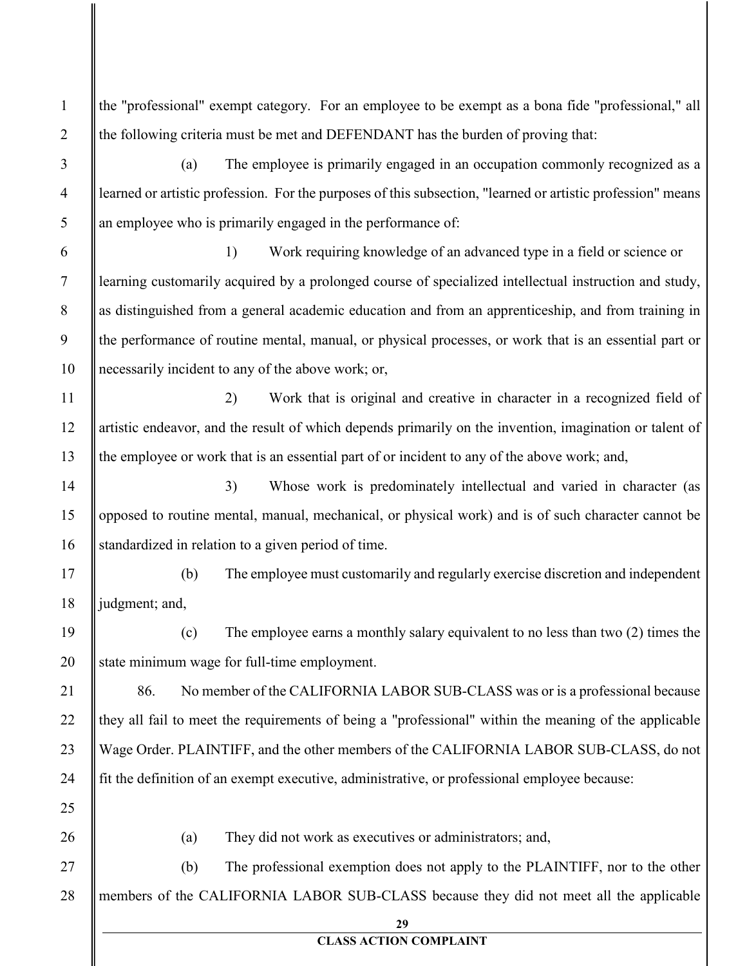**29 CLASS ACTION COMPLAINT** 1 2 3 4 5 6 7 8 9 10 11 12 13 14 15 16 17 18 19 20 21 22 23 24 25 26 27 28 the "professional" exempt category. For an employee to be exempt as a bona fide "professional," all the following criteria must be met and DEFENDANT has the burden of proving that: (a) The employee is primarily engaged in an occupation commonly recognized as a learned or artistic profession. For the purposes of this subsection, "learned or artistic profession" means an employee who is primarily engaged in the performance of: 1) Work requiring knowledge of an advanced type in a field or science or learning customarily acquired by a prolonged course of specialized intellectual instruction and study, as distinguished from a general academic education and from an apprenticeship, and from training in the performance of routine mental, manual, or physical processes, or work that is an essential part or necessarily incident to any of the above work; or, 2) Work that is original and creative in character in a recognized field of artistic endeavor, and the result of which depends primarily on the invention, imagination or talent of the employee or work that is an essential part of or incident to any of the above work; and, 3) Whose work is predominately intellectual and varied in character (as opposed to routine mental, manual, mechanical, or physical work) and is of such character cannot be standardized in relation to a given period of time. (b) The employee must customarily and regularly exercise discretion and independent judgment; and, (c) The employee earns a monthly salary equivalent to no less than two (2) times the state minimum wage for full-time employment. 86. No member of the CALIFORNIA LABOR SUB-CLASS was or is a professional because they all fail to meet the requirements of being a "professional" within the meaning of the applicable Wage Order. PLAINTIFF, and the other members of the CALIFORNIA LABOR SUB-CLASS, do not fit the definition of an exempt executive, administrative, or professional employee because: (a) They did not work as executives or administrators; and, (b) The professional exemption does not apply to the PLAINTIFF, nor to the other members of the CALIFORNIA LABOR SUB-CLASS because they did not meet all the applicable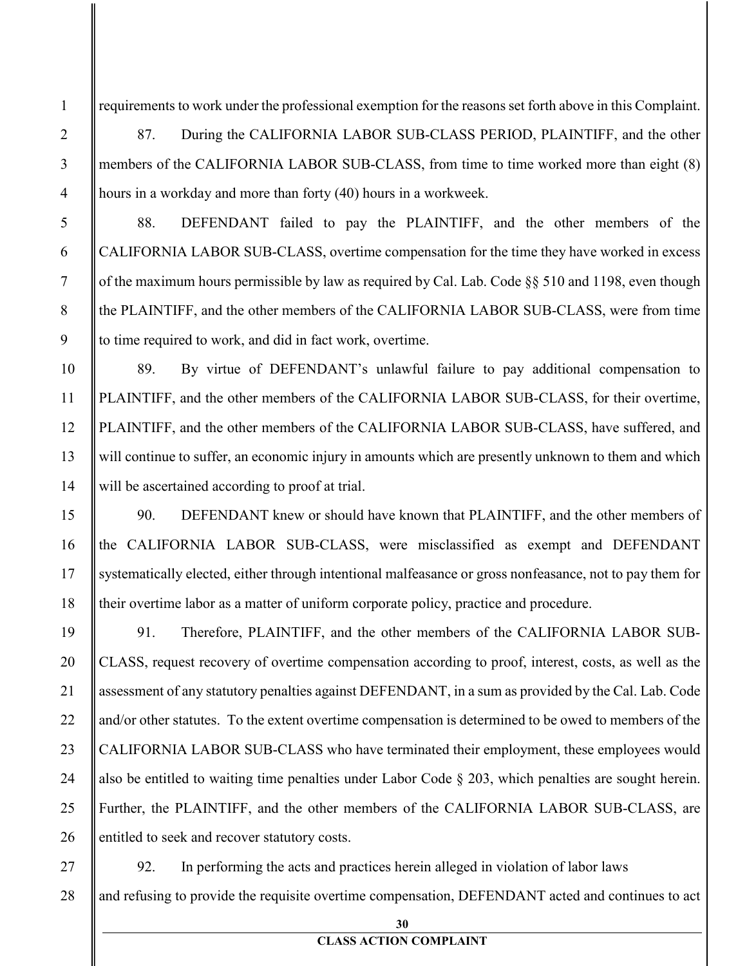3

4

5

6

7

8

9

10

11

12

13

requirements to work under the professional exemption for the reasons set forth above in this Complaint.

87. During the CALIFORNIA LABOR SUB-CLASS PERIOD, PLAINTIFF, and the other members of the CALIFORNIA LABOR SUB-CLASS, from time to time worked more than eight (8) hours in a workday and more than forty (40) hours in a workweek.

88. DEFENDANT failed to pay the PLAINTIFF, and the other members of the CALIFORNIA LABOR SUB-CLASS, overtime compensation for the time they have worked in excess of the maximum hours permissible by law as required by Cal. Lab. Code §§ 510 and 1198, even though the PLAINTIFF, and the other members of the CALIFORNIA LABOR SUB-CLASS, were from time to time required to work, and did in fact work, overtime.

14 89. By virtue of DEFENDANT's unlawful failure to pay additional compensation to PLAINTIFF, and the other members of the CALIFORNIA LABOR SUB-CLASS, for their overtime, PLAINTIFF, and the other members of the CALIFORNIA LABOR SUB-CLASS, have suffered, and will continue to suffer, an economic injury in amounts which are presently unknown to them and which will be ascertained according to proof at trial.

15 16 17 18 90. DEFENDANT knew or should have known that PLAINTIFF, and the other members of the CALIFORNIA LABOR SUB-CLASS, were misclassified as exempt and DEFENDANT systematically elected, either through intentional malfeasance or gross nonfeasance, not to pay them for their overtime labor as a matter of uniform corporate policy, practice and procedure.

19 20 21 22 23 24 25 26 91. Therefore, PLAINTIFF, and the other members of the CALIFORNIA LABOR SUB-CLASS, request recovery of overtime compensation according to proof, interest, costs, as well as the assessment of any statutory penalties against DEFENDANT, in a sum as provided by the Cal. Lab. Code and/or other statutes. To the extent overtime compensation is determined to be owed to members of the CALIFORNIA LABOR SUB-CLASS who have terminated their employment, these employees would also be entitled to waiting time penalties under Labor Code § 203, which penalties are sought herein. Further, the PLAINTIFF, and the other members of the CALIFORNIA LABOR SUB-CLASS, are entitled to seek and recover statutory costs.

27 28 92. In performing the acts and practices herein alleged in violation of labor laws and refusing to provide the requisite overtime compensation, DEFENDANT acted and continues to act

**30**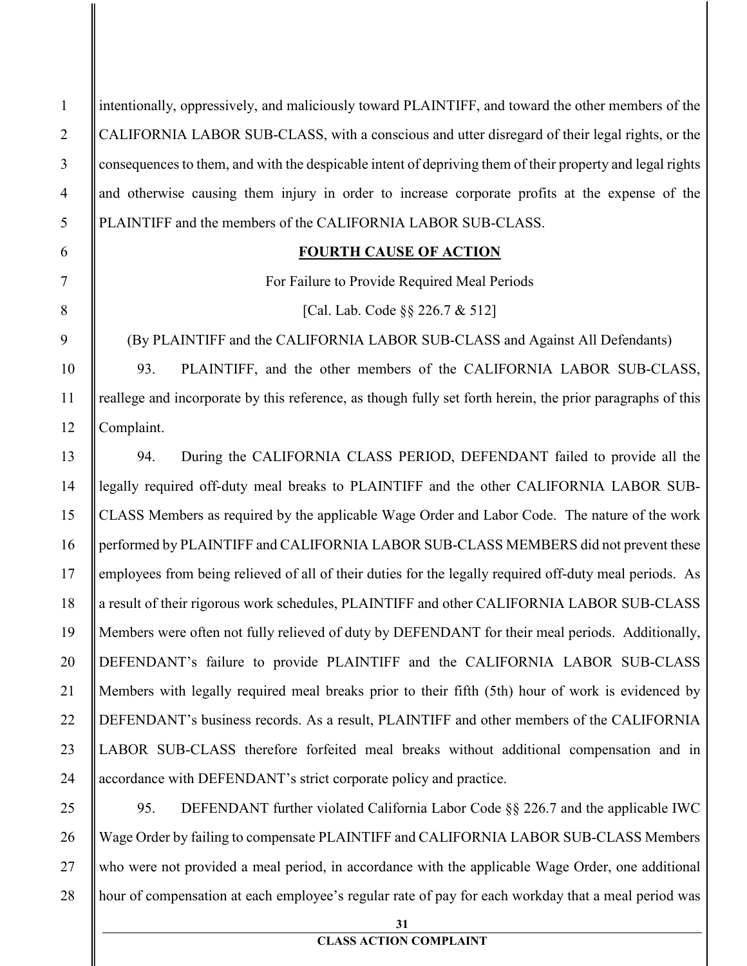1 2 3 4 5 intentionally, oppressively, and maliciously toward PLAINTIFF, and toward the other members of the CALIFORNIA LABOR SUB-CLASS, with a conscious and utter disregard of their legal rights, or the consequences to them, and with the despicable intent of depriving them of their property and legal rights and otherwise causing them injury in order to increase corporate profits at the expense of the PLAINTIFF and the members of the CALIFORNIA LABOR SUB-CLASS.

### **FOURTH CAUSE OF ACTION**

6

7

8

9

10

11

12

For Failure to Provide Required Meal Periods

[Cal. Lab. Code §§ 226.7 & 512]

(By PLAINTIFF and the CALIFORNIA LABOR SUB-CLASS and Against All Defendants)

93. PLAINTIFF, and the other members of the CALIFORNIA LABOR SUB-CLASS, reallege and incorporate by this reference, as though fully set forth herein, the prior paragraphs of this Complaint.

13 14 15 16 17 18 19 20 21 22 23 24 94. During the CALIFORNIA CLASS PERIOD, DEFENDANT failed to provide all the legally required off-duty meal breaks to PLAINTIFF and the other CALIFORNIA LABOR SUB-CLASS Members as required by the applicable Wage Order and Labor Code. The nature of the work performed by PLAINTIFF and CALIFORNIA LABOR SUB-CLASS MEMBERS did not prevent these employees from being relieved of all of their duties for the legally required off-duty meal periods. As a result of their rigorous work schedules, PLAINTIFF and other CALIFORNIA LABOR SUB-CLASS Members were often not fully relieved of duty by DEFENDANT for their meal periods. Additionally, DEFENDANT's failure to provide PLAINTIFF and the CALIFORNIA LABOR SUB-CLASS Members with legally required meal breaks prior to their fifth (5th) hour of work is evidenced by DEFENDANT's business records. As a result, PLAINTIFF and other members of the CALIFORNIA LABOR SUB-CLASS therefore forfeited meal breaks without additional compensation and in accordance with DEFENDANT's strict corporate policy and practice.

25 26 27 28 95. DEFENDANT further violated California Labor Code §§ 226.7 and the applicable IWC Wage Order by failing to compensate PLAINTIFF and CALIFORNIA LABOR SUB-CLASS Members who were not provided a meal period, in accordance with the applicable Wage Order, one additional hour of compensation at each employee's regular rate of pay for each workday that a meal period was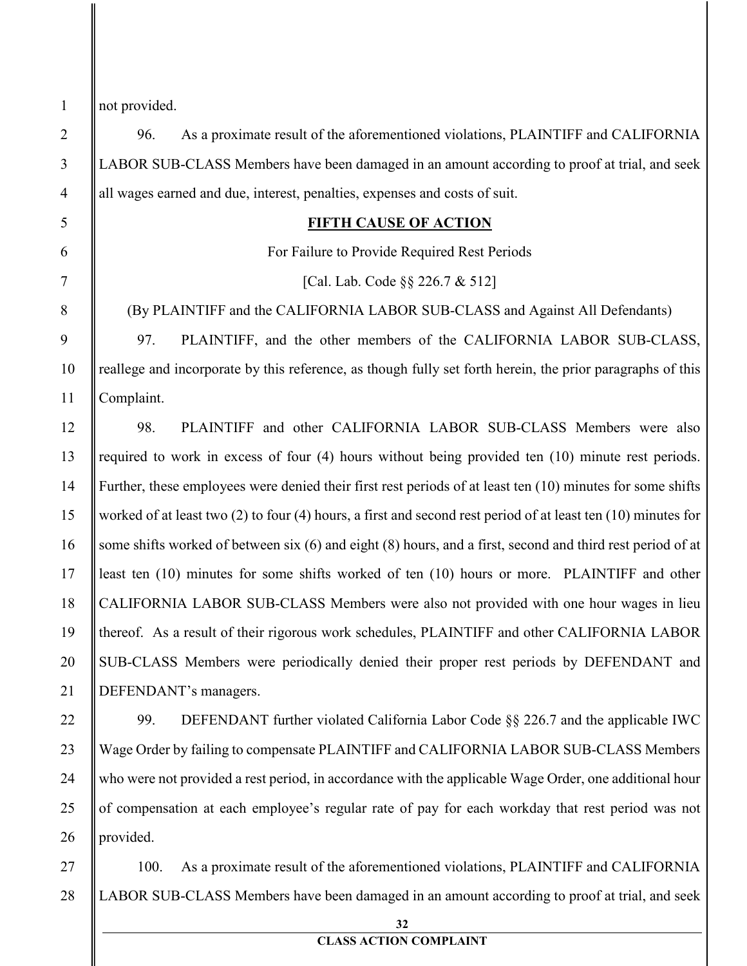not provided.

1

2 3 4 5 6 7 8 9 10 11 12 13 14 15 16 17 18 19 20 21 22 23 24 25 26 27 96. As a proximate result of the aforementioned violations, PLAINTIFF and CALIFORNIA LABOR SUB-CLASS Members have been damaged in an amount according to proof at trial, and seek all wages earned and due, interest, penalties, expenses and costs of suit. **FIFTH CAUSE OF ACTION** For Failure to Provide Required Rest Periods [Cal. Lab. Code §§ 226.7 & 512] (By PLAINTIFF and the CALIFORNIA LABOR SUB-CLASS and Against All Defendants) 97. PLAINTIFF, and the other members of the CALIFORNIA LABOR SUB-CLASS, reallege and incorporate by this reference, as though fully set forth herein, the prior paragraphs of this Complaint. 98. PLAINTIFF and other CALIFORNIA LABOR SUB-CLASS Members were also required to work in excess of four (4) hours without being provided ten (10) minute rest periods. Further, these employees were denied their first rest periods of at least ten (10) minutes for some shifts worked of at least two (2) to four (4) hours, a first and second rest period of at least ten (10) minutes for some shifts worked of between six (6) and eight (8) hours, and a first, second and third rest period of at least ten (10) minutes for some shifts worked of ten (10) hours or more. PLAINTIFF and other CALIFORNIA LABOR SUB-CLASS Members were also not provided with one hour wages in lieu thereof. As a result of their rigorous work schedules, PLAINTIFF and other CALIFORNIA LABOR SUB-CLASS Members were periodically denied their proper rest periods by DEFENDANT and DEFENDANT's managers. 99. DEFENDANT further violated California Labor Code §§ 226.7 and the applicable IWC Wage Order by failing to compensate PLAINTIFF and CALIFORNIA LABOR SUB-CLASS Members who were not provided a rest period, in accordance with the applicable Wage Order, one additional hour of compensation at each employee's regular rate of pay for each workday that rest period was not provided. 100. As a proximate result of the aforementioned violations, PLAINTIFF and CALIFORNIA

28 LABOR SUB-CLASS Members have been damaged in an amount according to proof at trial, and seek

**32**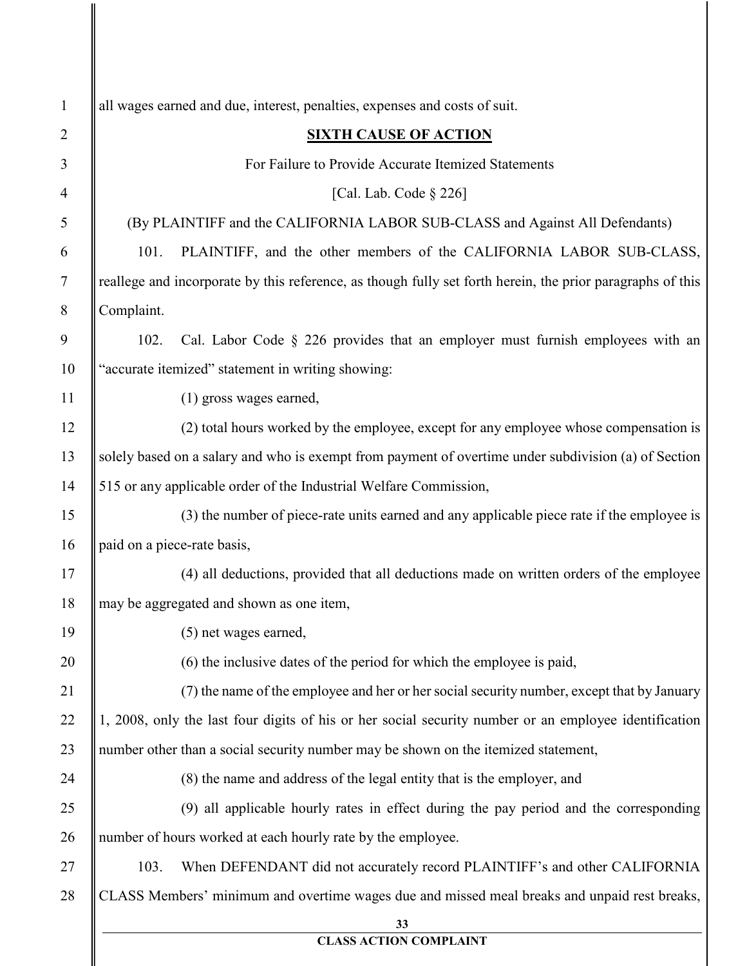| $\mathbf{1}$   | all wages earned and due, interest, penalties, expenses and costs of suit.                                 |
|----------------|------------------------------------------------------------------------------------------------------------|
| $\overline{2}$ | <b>SIXTH CAUSE OF ACTION</b>                                                                               |
| 3              | For Failure to Provide Accurate Itemized Statements                                                        |
| 4              | [Cal. Lab. Code $\S 226$ ]                                                                                 |
| 5              | (By PLAINTIFF and the CALIFORNIA LABOR SUB-CLASS and Against All Defendants)                               |
| 6              | PLAINTIFF, and the other members of the CALIFORNIA LABOR SUB-CLASS,<br>101.                                |
| 7              | reallege and incorporate by this reference, as though fully set forth herein, the prior paragraphs of this |
| 8              | Complaint.                                                                                                 |
| 9              | Cal. Labor Code $\S$ 226 provides that an employer must furnish employees with an<br>102.                  |
| 10             | "accurate itemized" statement in writing showing:                                                          |
| 11             | (1) gross wages earned,                                                                                    |
| 12             | (2) total hours worked by the employee, except for any employee whose compensation is                      |
| 13             | solely based on a salary and who is exempt from payment of overtime under subdivision (a) of Section       |
| 14             | 515 or any applicable order of the Industrial Welfare Commission,                                          |
| 15             | (3) the number of piece-rate units earned and any applicable piece rate if the employee is                 |
| 16             | paid on a piece-rate basis,                                                                                |
| 17             | (4) all deductions, provided that all deductions made on written orders of the employee                    |
| 18             | may be aggregated and shown as one item,                                                                   |
| 19             | (5) net wages earned,                                                                                      |
| 20             | (6) the inclusive dates of the period for which the employee is paid,                                      |
| 21             | (7) the name of the employee and her or her social security number, except that by January                 |
| 22             | 1, 2008, only the last four digits of his or her social security number or an employee identification      |
| 23             | number other than a social security number may be shown on the itemized statement,                         |
| 24             | (8) the name and address of the legal entity that is the employer, and                                     |
| 25             | (9) all applicable hourly rates in effect during the pay period and the corresponding                      |
| 26             | number of hours worked at each hourly rate by the employee.                                                |
| 27             | 103.<br>When DEFENDANT did not accurately record PLAINTIFF's and other CALIFORNIA                          |
| 28             | CLASS Members' minimum and overtime wages due and missed meal breaks and unpaid rest breaks,               |
|                | 33                                                                                                         |
|                | <b>CLASS ACTION COMPLAINT</b>                                                                              |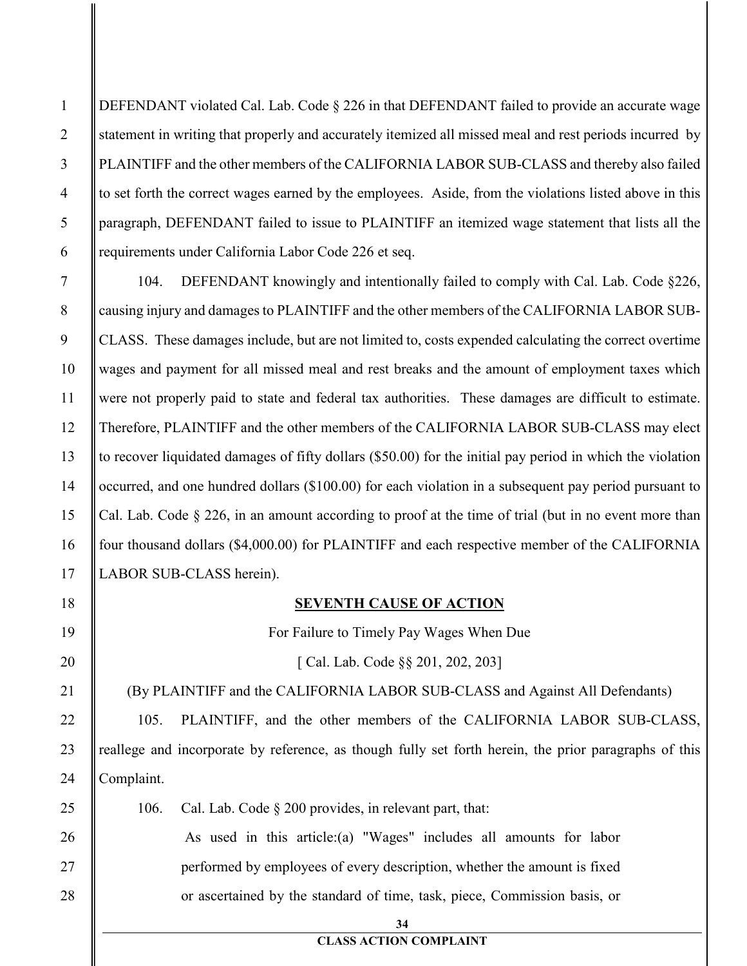1 2 3 4 5 6 DEFENDANT violated Cal. Lab. Code § 226 in that DEFENDANT failed to provide an accurate wage statement in writing that properly and accurately itemized all missed meal and rest periods incurred by PLAINTIFF and the other members of the CALIFORNIA LABOR SUB-CLASS and thereby also failed to set forth the correct wages earned by the employees. Aside, from the violations listed above in this paragraph, DEFENDANT failed to issue to PLAINTIFF an itemized wage statement that lists all the requirements under California Labor Code 226 et seq.

7 8 9 10 11 12 13 14 15 16 17 104. DEFENDANT knowingly and intentionally failed to comply with Cal. Lab. Code §226, causing injury and damages to PLAINTIFF and the other members of the CALIFORNIA LABOR SUB-CLASS. These damages include, but are not limited to, costs expended calculating the correct overtime wages and payment for all missed meal and rest breaks and the amount of employment taxes which were not properly paid to state and federal tax authorities. These damages are difficult to estimate. Therefore, PLAINTIFF and the other members of the CALIFORNIA LABOR SUB-CLASS may elect to recover liquidated damages of fifty dollars (\$50.00) for the initial pay period in which the violation occurred, and one hundred dollars (\$100.00) for each violation in a subsequent pay period pursuant to Cal. Lab. Code § 226, in an amount according to proof at the time of trial (but in no event more than four thousand dollars (\$4,000.00) for PLAINTIFF and each respective member of the CALIFORNIA LABOR SUB-CLASS herein).

### **SEVENTH CAUSE OF ACTION**

For Failure to Timely Pay Wages When Due

[ Cal. Lab. Code §§ 201, 202, 203]

(By PLAINTIFF and the CALIFORNIA LABOR SUB-CLASS and Against All Defendants)

105. PLAINTIFF, and the other members of the CALIFORNIA LABOR SUB-CLASS, reallege and incorporate by reference, as though fully set forth herein, the prior paragraphs of this Complaint.

106. Cal. Lab. Code § 200 provides, in relevant part, that:

18

19

20

21

22

23

24

25

26

27

28

As used in this article:(a) "Wages" includes all amounts for labor performed by employees of every description, whether the amount is fixed or ascertained by the standard of time, task, piece, Commission basis, or

**34**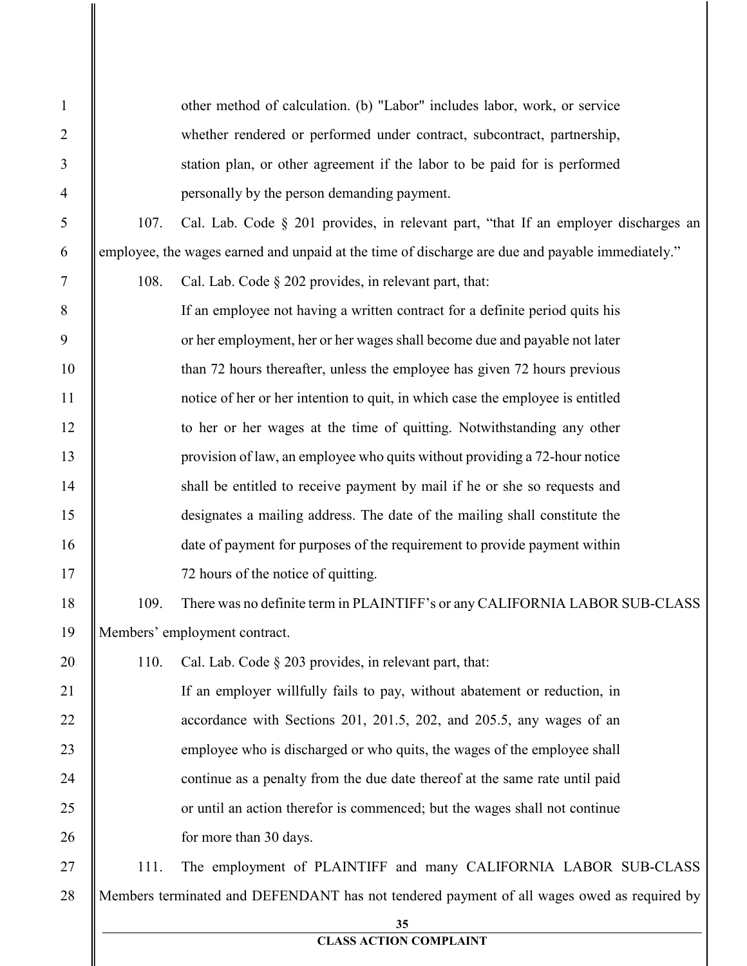| $\mathbf{1}$   |      | other method of calculation. (b) "Labor" includes labor, work, or service                        |
|----------------|------|--------------------------------------------------------------------------------------------------|
| $\overline{2}$ |      | whether rendered or performed under contract, subcontract, partnership,                          |
| 3              |      | station plan, or other agreement if the labor to be paid for is performed                        |
| $\overline{4}$ |      | personally by the person demanding payment.                                                      |
| 5              | 107. | Cal. Lab. Code § 201 provides, in relevant part, "that If an employer discharges an              |
| 6              |      | employee, the wages earned and unpaid at the time of discharge are due and payable immediately." |
| $\overline{7}$ | 108. | Cal. Lab. Code § 202 provides, in relevant part, that:                                           |
| 8              |      | If an employee not having a written contract for a definite period quits his                     |
| 9              |      | or her employment, her or her wages shall become due and payable not later                       |
| 10             |      | than 72 hours thereafter, unless the employee has given 72 hours previous                        |
| 11             |      | notice of her or her intention to quit, in which case the employee is entitled                   |
| 12             |      | to her or her wages at the time of quitting. Notwithstanding any other                           |
| 13             |      | provision of law, an employee who quits without providing a 72-hour notice                       |
| 14             |      | shall be entitled to receive payment by mail if he or she so requests and                        |
| 15             |      | designates a mailing address. The date of the mailing shall constitute the                       |
| 16             |      | date of payment for purposes of the requirement to provide payment within                        |
| 17             |      | 72 hours of the notice of quitting.                                                              |
| 18             | 109. | There was no definite term in PLAINTIFF's or any CALIFORNIA LABOR SUB-CLASS                      |
| 19             |      | Members' employment contract.                                                                    |
| 20             | 110. | Cal. Lab. Code § 203 provides, in relevant part, that:                                           |
| 21             |      | If an employer willfully fails to pay, without abatement or reduction, in                        |
| 22             |      | accordance with Sections 201, 201.5, 202, and 205.5, any wages of an                             |
| 23             |      | employee who is discharged or who quits, the wages of the employee shall                         |
| 24             |      | continue as a penalty from the due date thereof at the same rate until paid                      |
| 25             |      | or until an action therefor is commenced; but the wages shall not continue                       |
| 26             |      | for more than 30 days.                                                                           |
| 27             | 111. | The employment of PLAINTIFF and many CALIFORNIA LABOR SUB-CLASS                                  |
| 28             |      | Members terminated and DEFENDANT has not tendered payment of all wages owed as required by       |
|                |      | 35                                                                                               |
|                |      | <b>CLASS ACTION COMPLAINT</b>                                                                    |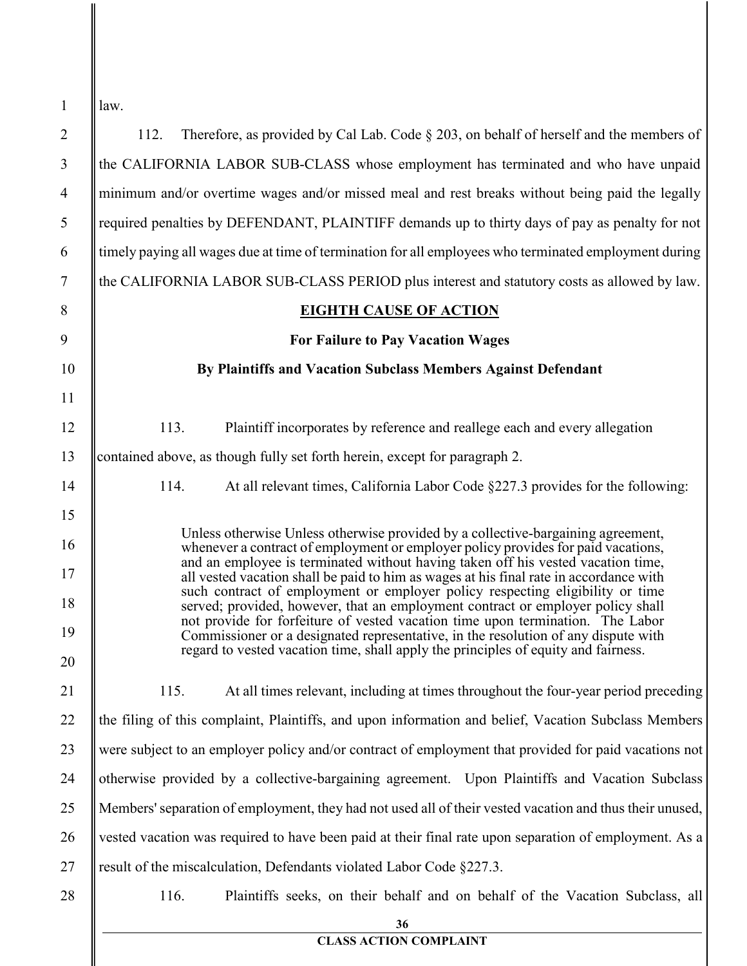| $\mathbf{1}$   | law.                                                                                                                                                                       |
|----------------|----------------------------------------------------------------------------------------------------------------------------------------------------------------------------|
| $\overline{2}$ | 112.<br>Therefore, as provided by Cal Lab. Code $\S 203$ , on behalf of herself and the members of                                                                         |
| $\overline{3}$ | the CALIFORNIA LABOR SUB-CLASS whose employment has terminated and who have unpaid                                                                                         |
| $\overline{4}$ | minimum and/or overtime wages and/or missed meal and rest breaks without being paid the legally                                                                            |
| 5              | required penalties by DEFENDANT, PLAINTIFF demands up to thirty days of pay as penalty for not                                                                             |
| 6              | timely paying all wages due at time of termination for all employees who terminated employment during                                                                      |
| $\tau$         | the CALIFORNIA LABOR SUB-CLASS PERIOD plus interest and statutory costs as allowed by law.                                                                                 |
| 8              | <b>EIGHTH CAUSE OF ACTION</b>                                                                                                                                              |
| 9              | <b>For Failure to Pay Vacation Wages</b>                                                                                                                                   |
| 10             | By Plaintiffs and Vacation Subclass Members Against Defendant                                                                                                              |
| 11             |                                                                                                                                                                            |
| 12             | 113.<br>Plaintiff incorporates by reference and reallege each and every allegation                                                                                         |
| 13             | contained above, as though fully set forth herein, except for paragraph 2.                                                                                                 |
| 14             | 114.<br>At all relevant times, California Labor Code §227.3 provides for the following:                                                                                    |
| 15             |                                                                                                                                                                            |
| 16             | Unless otherwise Unless otherwise provided by a collective-bargaining agreement,<br>whenever a contract of employment or employer policy provides for paid vacations,      |
| 17             | and an employee is terminated without having taken off his vested vacation time,<br>all vested vacation shall be paid to him as wages at his final rate in accordance with |
| 18             | such contract of employment or employer policy respecting eligibility or time<br>served; provided, however, that an employment contract or employer policy shall           |
| 19             | not provide for forfeiture of vested vacation time upon termination. The Labor<br>Commissioner or a designated representative, in the resolution of any dispute with       |
| 20             | regard to vested vacation time, shall apply the principles of equity and fairness.                                                                                         |
| 21             | 115.<br>At all times relevant, including at times throughout the four-year period preceding                                                                                |
| 22             | the filing of this complaint, Plaintiffs, and upon information and belief, Vacation Subclass Members                                                                       |
| 23             | were subject to an employer policy and/or contract of employment that provided for paid vacations not                                                                      |
| 24             | otherwise provided by a collective-bargaining agreement. Upon Plaintiffs and Vacation Subclass                                                                             |
| 25             | Members' separation of employment, they had not used all of their vested vacation and thus their unused,                                                                   |
| 26             | vested vacation was required to have been paid at their final rate upon separation of employment. As a                                                                     |
| 27             | result of the miscalculation, Defendants violated Labor Code §227.3.                                                                                                       |
| 28             | 116.<br>Plaintiffs seeks, on their behalf and on behalf of the Vacation Subclass, all                                                                                      |
|                | 36<br><b>CLASS ACTION COMPLAINT</b>                                                                                                                                        |

Ι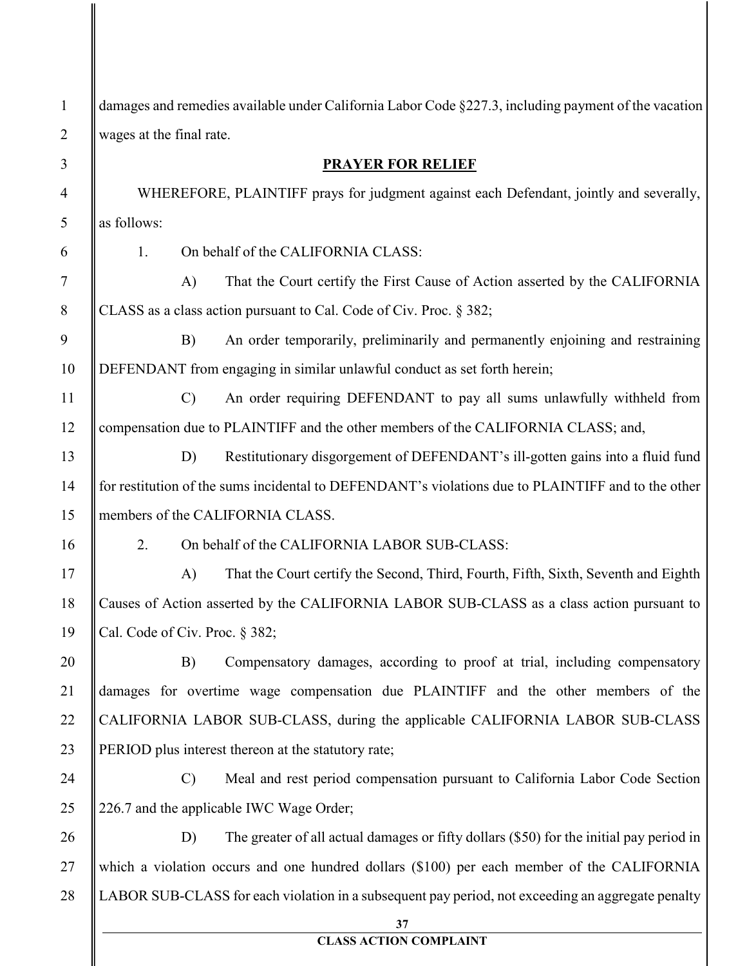| $\mathbf{1}$   | damages and remedies available under California Labor Code §227.3, including payment of the vacation |
|----------------|------------------------------------------------------------------------------------------------------|
| $\overline{2}$ | wages at the final rate.                                                                             |
| 3              | <b>PRAYER FOR RELIEF</b>                                                                             |
| $\overline{4}$ | WHEREFORE, PLAINTIFF prays for judgment against each Defendant, jointly and severally,               |
| 5              | as follows:                                                                                          |
| 6              | On behalf of the CALIFORNIA CLASS:<br>1.                                                             |
| 7              | That the Court certify the First Cause of Action asserted by the CALIFORNIA<br>A)                    |
| 8              | CLASS as a class action pursuant to Cal. Code of Civ. Proc. § 382;                                   |
| 9              | An order temporarily, preliminarily and permanently enjoining and restraining<br>B)                  |
| 10             | DEFENDANT from engaging in similar unlawful conduct as set forth herein;                             |
| 11             | An order requiring DEFENDANT to pay all sums unlawfully withheld from<br>$\mathcal{C}$               |
| 12             | compensation due to PLAINTIFF and the other members of the CALIFORNIA CLASS; and,                    |
| 13             | Restitutionary disgorgement of DEFENDANT's ill-gotten gains into a fluid fund<br>D)                  |
| 14             | for restitution of the sums incidental to DEFENDANT's violations due to PLAINTIFF and to the other   |
| 15             | members of the CALIFORNIA CLASS.                                                                     |
| 16             | On behalf of the CALIFORNIA LABOR SUB-CLASS:<br>2.                                                   |
| 17             | That the Court certify the Second, Third, Fourth, Fifth, Sixth, Seventh and Eighth<br>A)             |
| 18             | Causes of Action asserted by the CALIFORNIA LABOR SUB-CLASS as a class action pursuant to            |
| 19             | Cal. Code of Civ. Proc. § 382;                                                                       |
| 20             | Compensatory damages, according to proof at trial, including compensatory<br>B)                      |
| 21             | damages for overtime wage compensation due PLAINTIFF and the other members of the                    |
| 22             | CALIFORNIA LABOR SUB-CLASS, during the applicable CALIFORNIA LABOR SUB-CLASS                         |
| 23             | PERIOD plus interest thereon at the statutory rate;                                                  |
| 24             | Meal and rest period compensation pursuant to California Labor Code Section<br>$\mathbf{C}$          |
| 25             | 226.7 and the applicable IWC Wage Order;                                                             |
| 26             | The greater of all actual damages or fifty dollars (\$50) for the initial pay period in<br>D)        |
| 27             | which a violation occurs and one hundred dollars (\$100) per each member of the CALIFORNIA           |
| 28             | LABOR SUB-CLASS for each violation in a subsequent pay period, not exceeding an aggregate penalty    |
|                | 37<br><b>CLASS ACTION COMPLAINT</b>                                                                  |
|                |                                                                                                      |